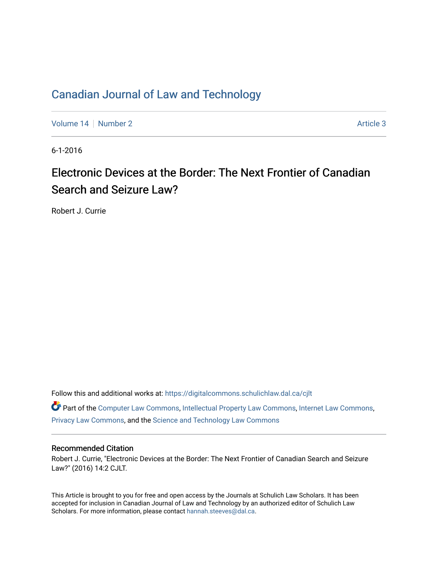# [Canadian Journal of Law and Technology](https://digitalcommons.schulichlaw.dal.ca/cjlt)

[Volume 14](https://digitalcommons.schulichlaw.dal.ca/cjlt/vol14) | [Number 2](https://digitalcommons.schulichlaw.dal.ca/cjlt/vol14/iss2) Article 3

6-1-2016

# Electronic Devices at the Border: The Next Frontier of Canadian Search and Seizure Law?

Robert J. Currie

Follow this and additional works at: [https://digitalcommons.schulichlaw.dal.ca/cjlt](https://digitalcommons.schulichlaw.dal.ca/cjlt?utm_source=digitalcommons.schulichlaw.dal.ca%2Fcjlt%2Fvol14%2Fiss2%2F3&utm_medium=PDF&utm_campaign=PDFCoverPages) 

Part of the [Computer Law Commons,](http://network.bepress.com/hgg/discipline/837?utm_source=digitalcommons.schulichlaw.dal.ca%2Fcjlt%2Fvol14%2Fiss2%2F3&utm_medium=PDF&utm_campaign=PDFCoverPages) [Intellectual Property Law Commons,](http://network.bepress.com/hgg/discipline/896?utm_source=digitalcommons.schulichlaw.dal.ca%2Fcjlt%2Fvol14%2Fiss2%2F3&utm_medium=PDF&utm_campaign=PDFCoverPages) [Internet Law Commons,](http://network.bepress.com/hgg/discipline/892?utm_source=digitalcommons.schulichlaw.dal.ca%2Fcjlt%2Fvol14%2Fiss2%2F3&utm_medium=PDF&utm_campaign=PDFCoverPages) [Privacy Law Commons,](http://network.bepress.com/hgg/discipline/1234?utm_source=digitalcommons.schulichlaw.dal.ca%2Fcjlt%2Fvol14%2Fiss2%2F3&utm_medium=PDF&utm_campaign=PDFCoverPages) and the [Science and Technology Law Commons](http://network.bepress.com/hgg/discipline/875?utm_source=digitalcommons.schulichlaw.dal.ca%2Fcjlt%2Fvol14%2Fiss2%2F3&utm_medium=PDF&utm_campaign=PDFCoverPages) 

# Recommended Citation

Robert J. Currie, "Electronic Devices at the Border: The Next Frontier of Canadian Search and Seizure Law?" (2016) 14:2 CJLT.

This Article is brought to you for free and open access by the Journals at Schulich Law Scholars. It has been accepted for inclusion in Canadian Journal of Law and Technology by an authorized editor of Schulich Law Scholars. For more information, please contact [hannah.steeves@dal.ca](mailto:hannah.steeves@dal.ca).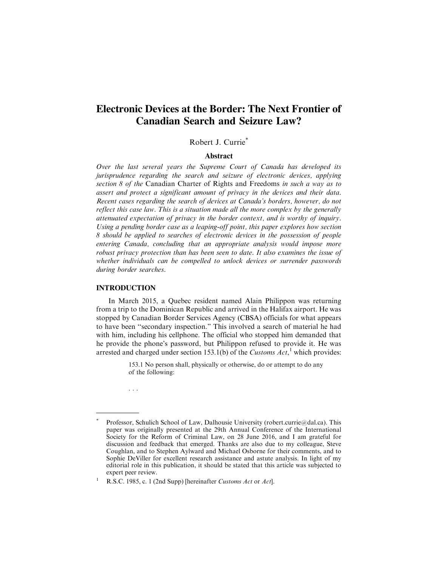# **Electronic Devices at the Border: The Next Frontier of Canadian Search and Seizure Law?**

Robert J. Currie\*

#### Abstract

Over the last several years the Supreme Court of Canada has developed its jurisprudence regarding the search and seizure of electronic devices, applying section 8 of the Canadian Charter of Rights and Freedoms in such a way as to assert and protect a significant amount of privacy in the devices and their data. Recent cases regarding the search of devices at Canada's borders, however, do not reflect this case law. This is a situation made all the more complex by the generally attenuated expectation of privacy in the border context, and is worthy of inquiry. Using a pending border case as a leaping-off point, this paper explores how section 8 should be applied to searches of electronic devices in the possession of people entering Canada, concluding that an appropriate analysis would impose more robust privacy protection than has been seen to date. It also examines the issue of whether individuals can be compelled to unlock devices or surrender passwords during border searches.

#### **INTRODUCTION**

In March 2015, a Quebec resident named Alain Philippon was returning from a trip to the Dominican Republic and arrived in the Halifax airport. He was stopped by Canadian Border Services Agency (CBSA) officials for what appears to have been ''secondary inspection." This involved a search of material he had with him, including his cellphone. The official who stopped him demanded that he provide the phone's password, but Philippon refused to provide it. He was arrested and charged under section 153.1(b) of the Customs  $Act$ ,<sup>1</sup> which provides:

> 153.1 No person shall, physically or otherwise, do or attempt to do any of the following:

. . .

Professor, Schulich School of Law, Dalhousie University (robert.currie@dal.ca). This paper was originally presented at the 29th Annual Conference of the International Society for the Reform of Criminal Law, on 28 June 2016, and I am grateful for discussion and feedback that emerged. Thanks are also due to my colleague, Steve Coughlan, and to Stephen Aylward and Michael Osborne for their comments, and to Sophie DeViller for excellent research assistance and astute analysis. In light of my editorial role in this publication, it should be stated that this article was subjected to expert peer review.

<sup>&</sup>lt;sup>1</sup> R.S.C. 1985, c. 1 (2nd Supp) [hereinafter *Customs Act* or *Act*].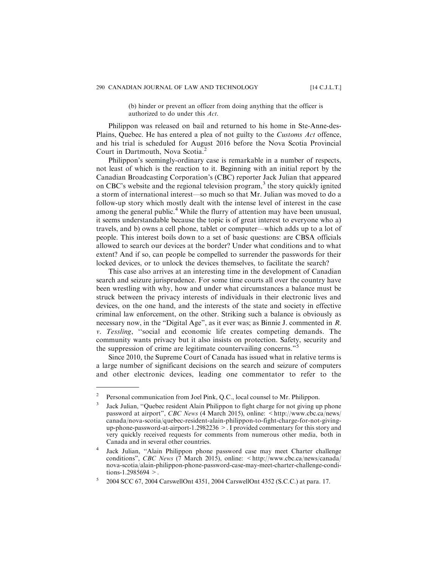(b) hinder or prevent an officer from doing anything that the officer is authorized to do under this Act.

Philippon was released on bail and returned to his home in Ste-Anne-des-Plains, Quebec. He has entered a plea of not guilty to the Customs Act offence, and his trial is scheduled for August 2016 before the Nova Scotia Provincial Court in Dartmouth, Nova Scotia.<sup>2</sup>

Philippon's seemingly-ordinary case is remarkable in a number of respects, not least of which is the reaction to it. Beginning with an initial report by the Canadian Broadcasting Corporation's (CBC) reporter Jack Julian that appeared on CBC's website and the regional television program,<sup>3</sup> the story quickly ignited a storm of international interest—so much so that Mr. Julian was moved to do a follow-up story which mostly dealt with the intense level of interest in the case among the general public.<sup>4</sup> While the flurry of attention may have been unusual, it seems understandable because the topic is of great interest to everyone who a) travels, and b) owns a cell phone, tablet or computer—which adds up to a lot of people. This interest boils down to a set of basic questions: are CBSA officials allowed to search our devices at the border? Under what conditions and to what extent? And if so, can people be compelled to surrender the passwords for their locked devices, or to unlock the devices themselves, to facilitate the search?

This case also arrives at an interesting time in the development of Canadian search and seizure jurisprudence. For some time courts all over the country have been wrestling with why, how and under what circumstances a balance must be struck between the privacy interests of individuals in their electronic lives and devices, on the one hand, and the interests of the state and society in effective criminal law enforcement, on the other. Striking such a balance is obviously as necessary now, in the "Digital Age", as it ever was; as Binnie J. commented in R. v. Tessling, ''social and economic life creates competing demands. The community wants privacy but it also insists on protection. Safety, security and the suppression of crime are legitimate countervailing concerns."

Since 2010, the Supreme Court of Canada has issued what in relative terms is a large number of significant decisions on the search and seizure of computers and other electronic devices, leading one commentator to refer to the

<sup>&</sup>lt;sup>2</sup> Personal communication from Joel Pink, Q.C., local counsel to Mr. Philippon.

<sup>&</sup>lt;sup>3</sup> Jack Julian, "Quebec resident Alain Philippon to fight charge for not giving up phone password at airport", CBC News (4 March 2015), online:  $\lt$ http://www.cbc.ca/news/ canada/nova-scotia/quebec-resident-alain-philippon-to-fight-charge-for-not-givingup-phone-password-at-airport-1.2982236 >. I provided commentary for this story and very quickly received requests for comments from numerous other media, both in Canada and in several other countries.

Jack Julian, "Alain Philippon phone password case may meet Charter challenge conditions", CBC News (7 March 2015), online: <http://www.cbc.ca/news/canada/ nova-scotia/alain-philippon-phone-password-case-may-meet-charter-challenge-conditions-1.2985694  $>$ .

<sup>5</sup> 2004 SCC 67, 2004 CarswellOnt 4351, 2004 CarswellOnt 4352 (S.C.C.) at para. 17.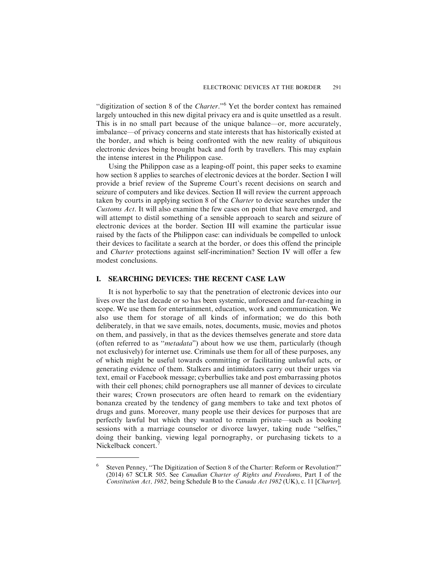"digitization of section 8 of the Charter."<sup>6</sup> Yet the border context has remained largely untouched in this new digital privacy era and is quite unsettled as a result. This is in no small part because of the unique balance—or, more accurately, imbalance—of privacy concerns and state interests that has historically existed at the border, and which is being confronted with the new reality of ubiquitous electronic devices being brought back and forth by travellers. This may explain the intense interest in the Philippon case.

Using the Philippon case as a leaping-off point, this paper seeks to examine how section 8 applies to searches of electronic devices at the border. Section I will provide a brief review of the Supreme Court's recent decisions on search and seizure of computers and like devices. Section II will review the current approach taken by courts in applying section 8 of the Charter to device searches under the Customs Act. It will also examine the few cases on point that have emerged, and will attempt to distil something of a sensible approach to search and seizure of electronic devices at the border. Section III will examine the particular issue raised by the facts of the Philippon case: can individuals be compelled to unlock their devices to facilitate a search at the border, or does this offend the principle and Charter protections against self-incrimination? Section IV will offer a few modest conclusions.

#### **I. SEARCHING DEVICES: THE RECENT CASE LAW**

It is not hyperbolic to say that the penetration of electronic devices into our lives over the last decade or so has been systemic, unforeseen and far-reaching in scope. We use them for entertainment, education, work and communication. We also use them for storage of all kinds of information; we do this both deliberately, in that we save emails, notes, documents, music, movies and photos on them, and passively, in that as the devices themselves generate and store data (often referred to as "metadata") about how we use them, particularly (though not exclusively) for internet use. Criminals use them for all of these purposes, any of which might be useful towards committing or facilitating unlawful acts, or generating evidence of them. Stalkers and intimidators carry out their urges via text, email or Facebook message; cyberbullies take and post embarrassing photos with their cell phones; child pornographers use all manner of devices to circulate their wares; Crown prosecutors are often heard to remark on the evidentiary bonanza created by the tendency of gang members to take and text photos of drugs and guns. Moreover, many people use their devices for purposes that are perfectly lawful but which they wanted to remain private—such as booking sessions with a marriage counselor or divorce lawyer, taking nude ''selfies," doing their banking, viewing legal pornography, or purchasing tickets to a Nickelback concert.

<sup>6</sup> Steven Penney, ''The Digitization of Section 8 of the Charter: Reform or Revolution?" (2014) 67 SCLR 505. See Canadian Charter of Rights and Freedoms, Part I of the Constitution Act, 1982, being Schedule B to the Canada Act 1982 (UK), c. 11 [Charter].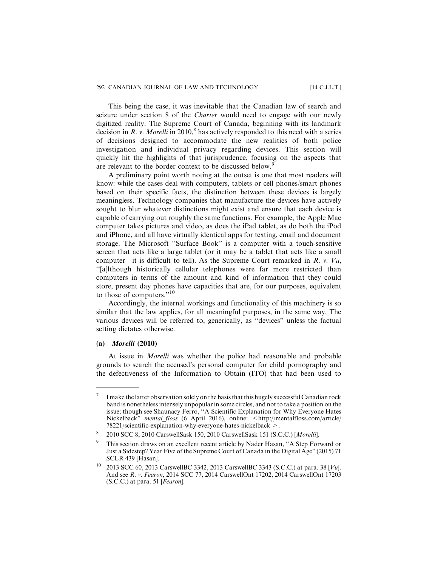This being the case, it was inevitable that the Canadian law of search and seizure under section 8 of the Charter would need to engage with our newly digitized reality. The Supreme Court of Canada, beginning with its landmark decision in R. v. Morelli in 2010,<sup>8</sup> has actively responded to this need with a series of decisions designed to accommodate the new realities of both police investigation and individual privacy regarding devices. This section will quickly hit the highlights of that jurisprudence, focusing on the aspects that are relevant to the border context to be discussed below.<sup>9</sup>

A preliminary point worth noting at the outset is one that most readers will know: while the cases deal with computers, tablets or cell phones/smart phones based on their specific facts, the distinction between these devices is largely meaningless. Technology companies that manufacture the devices have actively sought to blur whatever distinctions might exist and ensure that each device is capable of carrying out roughly the same functions. For example, the Apple Mac computer takes pictures and video, as does the iPad tablet, as do both the iPod and iPhone, and all have virtually identical apps for texting, email and document storage. The Microsoft ''Surface Book" is a computer with a touch-sensitive screen that acts like a large tablet (or it may be a tablet that acts like a small computer—it is difficult to tell). As the Supreme Court remarked in  $R$ .  $v$ .  $Vu$ , ''[a]lthough historically cellular telephones were far more restricted than computers in terms of the amount and kind of information that they could store, present day phones have capacities that are, for our purposes, equivalent to those of computers."<sup>10</sup>

Accordingly, the internal workings and functionality of this machinery is so similar that the law applies, for all meaningful purposes, in the same way. The various devices will be referred to, generically, as ''devices" unless the factual setting dictates otherwise.

#### **(a)** *Morelli* **(2010)**

At issue in Morelli was whether the police had reasonable and probable grounds to search the accused's personal computer for child pornography and the defectiveness of the Information to Obtain (ITO) that had been used to

 $7$  I make the latter observation solely on the basis that this hugely successful Canadian rock band is nonetheless intensely unpopular in some circles, and not to take a position on the issue; though see Shaunacy Ferro, ''A Scientific Explanation for Why Everyone Hates Nickelback" mental floss (6 April 2016), online: <http://mentalfloss.com/article/ 78221/scientific-explanation-why-everyone-hates-nickelback >.

<sup>8</sup> 2010 SCC 8, 2010 CarswellSask 150, 2010 CarswellSask 151 (S.C.C.) [Morelli].

<sup>9</sup> This section draws on an excellent recent article by Nader Hasan, ''A Step Forward or Just a Sidestep? Year Five of the Supreme Court of Canada in the Digital Age" (2015) 71 SCLR 439 [Hasan].

<sup>&</sup>lt;sup>10</sup> 2013 SCC 60, 2013 CarswellBC 3342, 2013 CarswellBC 3343 (S.C.C.) at para. 38 [ $Vu$ ]. And see R. v. Fearon, 2014 SCC 77, 2014 CarswellOnt 17202, 2014 CarswellOnt 17203  $(S.C.C.)$  at para. 51 [Fearon].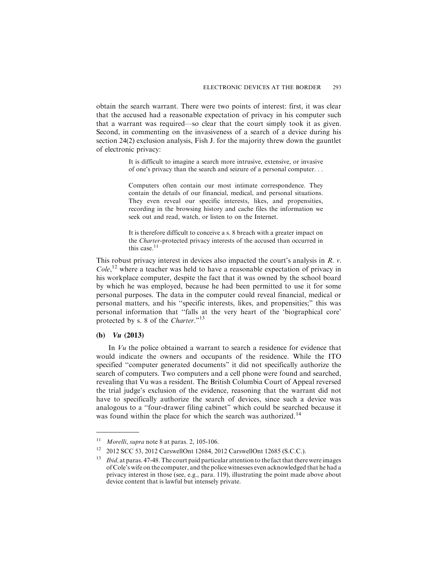obtain the search warrant. There were two points of interest: first, it was clear that the accused had a reasonable expectation of privacy in his computer such that a warrant was required—so clear that the court simply took it as given. Second, in commenting on the invasiveness of a search of a device during his section 24(2) exclusion analysis, Fish J. for the majority threw down the gauntlet of electronic privacy:

> It is difficult to imagine a search more intrusive, extensive, or invasive of one's privacy than the search and seizure of a personal computer. . .

> Computers often contain our most intimate correspondence. They contain the details of our financial, medical, and personal situations. They even reveal our specific interests, likes, and propensities, recording in the browsing history and cache files the information we seek out and read, watch, or listen to on the Internet.

> It is therefore difficult to conceive a s. 8 breach with a greater impact on the Charter-protected privacy interests of the accused than occurred in this case.<sup>11</sup>

This robust privacy interest in devices also impacted the court's analysis in R. v. Cole,<sup>12</sup> where a teacher was held to have a reasonable expectation of privacy in his workplace computer, despite the fact that it was owned by the school board by which he was employed, because he had been permitted to use it for some personal purposes. The data in the computer could reveal financial, medical or personal matters, and his ''specific interests, likes, and propensities;" this was personal information that ''falls at the very heart of the 'biographical core' protected by s. 8 of the Charter."<sup>13</sup>

# **(b)** *Vu* **(2013)**

In Vu the police obtained a warrant to search a residence for evidence that would indicate the owners and occupants of the residence. While the ITO specified ''computer generated documents" it did not specifically authorize the search of computers. Two computers and a cell phone were found and searched, revealing that Vu was a resident. The British Columbia Court of Appeal reversed the trial judge's exclusion of the evidence, reasoning that the warrant did not have to specifically authorize the search of devices, since such a device was analogous to a ''four-drawer filing cabinet" which could be searched because it was found within the place for which the search was authorized.<sup>14</sup>

<sup>&</sup>lt;sup>11</sup> Morelli, supra note 8 at paras. 2, 105-106.

<sup>12</sup> 2012 SCC 53, 2012 CarswellOnt 12684, 2012 CarswellOnt 12685 (S.C.C.).

 $13$  *Ibid*, at paras. 47-48. The court paid particular attention to the fact that there were images of Cole's wife on the computer, and the police witnesses even acknowledged that he had a privacy interest in those (see, e.g., para. 119), illustrating the point made above about device content that is lawful but intensely private.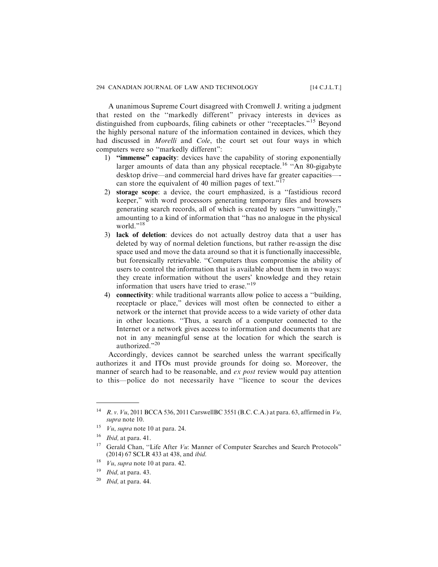A unanimous Supreme Court disagreed with Cromwell J. writing a judgment that rested on the ''markedly different" privacy interests in devices as distinguished from cupboards, filing cabinets or other ''receptacles."<sup>15</sup> Beyond the highly personal nature of the information contained in devices, which they had discussed in Morelli and Cole, the court set out four ways in which computers were so ''markedly different":

- 1) ''immense" capacity: devices have the capability of storing exponentially larger amounts of data than any physical receptacle.<sup>16</sup> "An 80-gigabyte desktop drive—and commercial hard drives have far greater capacities— can store the equivalent of 40 million pages of text."<sup>17</sup>
- 2) storage scope: a device, the court emphasized, is a ''fastidious record keeper," with word processors generating temporary files and browsers generating search records, all of which is created by users ''unwittingly," amounting to a kind of information that ''has no analogue in the physical world."<sup>18</sup>
- 3) lack of deletion: devices do not actually destroy data that a user has deleted by way of normal deletion functions, but rather re-assign the disc space used and move the data around so that it is functionally inaccessible, but forensically retrievable. ''Computers thus compromise the ability of users to control the information that is available about them in two ways: they create information without the users' knowledge and they retain information that users have tried to erase."<sup>19</sup>
- 4) connectivity: while traditional warrants allow police to access a ''building, receptacle or place," devices will most often be connected to either a network or the internet that provide access to a wide variety of other data in other locations. ''Thus, a search of a computer connected to the Internet or a network gives access to information and documents that are not in any meaningful sense at the location for which the search is authorized."<sup>20</sup>

Accordingly, devices cannot be searched unless the warrant specifically authorizes it and ITOs must provide grounds for doing so. Moreover, the manner of search had to be reasonable, and *ex post* review would pay attention to this—police do not necessarily have ''licence to scour the devices

<sup>&</sup>lt;sup>14</sup> R. v.  $Vu$ , 2011 BCCA 536, 2011 Carswell BC 3551 (B.C. C.A.) at para. 63, affirmed in  $Vu$ , supra note 10.

<sup>&</sup>lt;sup>15</sup> *Vu*, *supra* note 10 at para. 24.

 $16$  *Ibid*, at para. 41.

<sup>&</sup>lt;sup>17</sup> Gerald Chan, "Life After  $Vu$ : Manner of Computer Searches and Search Protocols" (2014) 67 SCLR 433 at 438, and ibid.

<sup>&</sup>lt;sup>18</sup> *Vu*, *supra* note 10 at para. 42.

 $19$  *Ibid*, at para. 43.

 $20$  *Ibid*, at para. 44.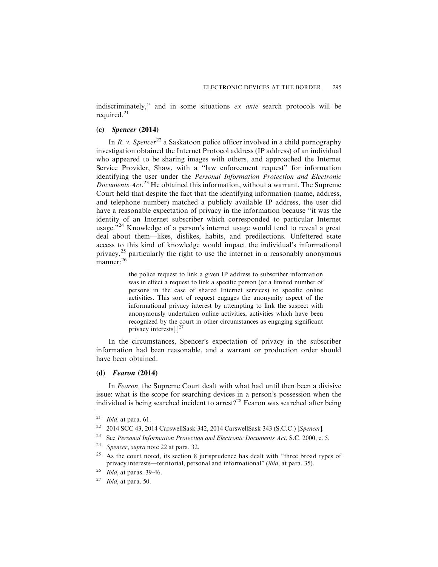indiscriminately," and in some situations ex ante search protocols will be required.<sup>21</sup>

#### **(c)** *Spencer* **(2014)**

In R. v. Spencer<sup>22</sup> a Saskatoon police officer involved in a child pornography investigation obtained the Internet Protocol address (IP address) of an individual who appeared to be sharing images with others, and approached the Internet Service Provider, Shaw, with a ''law enforcement request" for information identifying the user under the Personal Information Protection and Electronic Documents Act.<sup>23</sup> He obtained this information, without a warrant. The Supreme Court held that despite the fact that the identifying information (name, address, and telephone number) matched a publicly available IP address, the user did have a reasonable expectation of privacy in the information because ''it was the identity of an Internet subscriber which corresponded to particular Internet usage."<sup>24</sup> Knowledge of a person's internet usage would tend to reveal a great deal about them—likes, dislikes, habits, and predilections. Unfettered state access to this kind of knowledge would impact the individual's informational privacy,<sup>25</sup> particularly the right to use the internet in a reasonably anonymous manner:<sup>26</sup>

> the police request to link a given IP address to subscriber information was in effect a request to link a specific person (or a limited number of persons in the case of shared Internet services) to specific online activities. This sort of request engages the anonymity aspect of the informational privacy interest by attempting to link the suspect with anonymously undertaken online activities, activities which have been recognized by the court in other circumstances as engaging significant privacy interests[ $.$ ]<sup>27</sup>

In the circumstances, Spencer's expectation of privacy in the subscriber information had been reasonable, and a warrant or production order should have been obtained.

# **(d)** *Fearon* **(2014)**

In Fearon, the Supreme Court dealt with what had until then been a divisive issue: what is the scope for searching devices in a person's possession when the individual is being searched incident to arrest?<sup>28</sup> Fearon was searched after being

- <sup>23</sup> See *Personal Information Protection and Electronic Documents Act*, S.C. 2000, c. 5.<br><sup>24</sup> S
- Spencer, supra note 22 at para. 32.
- $25$  As the court noted, its section 8 jurisprudence has dealt with "three broad types of privacy interests—territorial, personal and informational" (ibid, at para. 35).
- $26$  *Ibid*, at paras. 39-46.
- $27$  *Ibid*, at para. 50.

 $21$  *Ibid,* at para. 61.

<sup>&</sup>lt;sup>22</sup> 2014 SCC 43, 2014 CarswellSask 342, 2014 CarswellSask 343 (S.C.C.) [Spencer].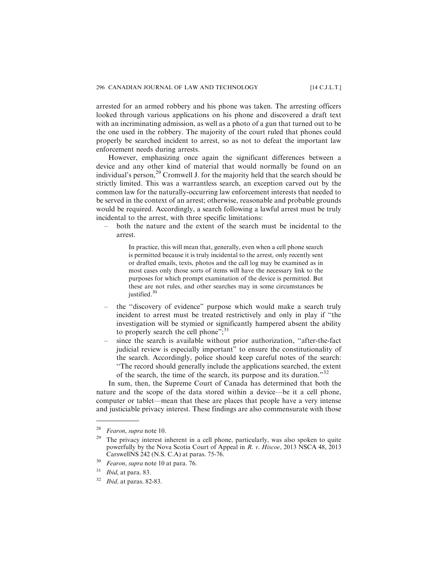arrested for an armed robbery and his phone was taken. The arresting officers looked through various applications on his phone and discovered a draft text with an incriminating admission, as well as a photo of a gun that turned out to be the one used in the robbery. The majority of the court ruled that phones could properly be searched incident to arrest, so as not to defeat the important law enforcement needs during arrests.

However, emphasizing once again the significant differences between a device and any other kind of material that would normally be found on an individual's person,<sup>29</sup> Cromwell J. for the majority held that the search should be strictly limited. This was a warrantless search, an exception carved out by the common law for the naturally-occurring law enforcement interests that needed to be served in the context of an arrest; otherwise, reasonable and probable grounds would be required. Accordingly, a search following a lawful arrest must be truly incidental to the arrest, with three specific limitations:

– both the nature and the extent of the search must be incidental to the arrest.

> In practice, this will mean that, generally, even when a cell phone search is permitted because it is truly incidental to the arrest, only recently sent or drafted emails, texts, photos and the call log may be examined as in most cases only those sorts of items will have the necessary link to the purposes for which prompt examination of the device is permitted. But these are not rules, and other searches may in some circumstances be justified.<sup>30</sup>

- the "discovery of evidence" purpose which would make a search truly incident to arrest must be treated restrictively and only in play if ''the investigation will be stymied or significantly hampered absent the ability to properly search the cell phone"; $^{31}$
- since the search is available without prior authorization, ''after-the-fact judicial review is especially important" to ensure the constitutionality of the search. Accordingly, police should keep careful notes of the search: ''The record should generally include the applications searched, the extent of the search, the time of the search, its purpose and its duration."<sup>32</sup>

In sum, then, the Supreme Court of Canada has determined that both the nature and the scope of the data stored within a device—be it a cell phone, computer or tablet—mean that these are places that people have a very intense and justiciable privacy interest. These findings are also commensurate with those

<sup>&</sup>lt;sup>28</sup> Fearon, supra note 10.

The privacy interest inherent in a cell phone, particularly, was also spoken to quite powerfully by the Nova Scotia Court of Appeal in R. v. Hiscoe, 2013 NSCA 48, 2013 CarswellNS 242 (N.S. C.A) at paras. 75-76.

<sup>&</sup>lt;sup>30</sup> Fearon, supra note 10 at para. 76.

 $31$  *Ibid*, at para. 83.

 $32$  *Ibid*, at paras. 82-83.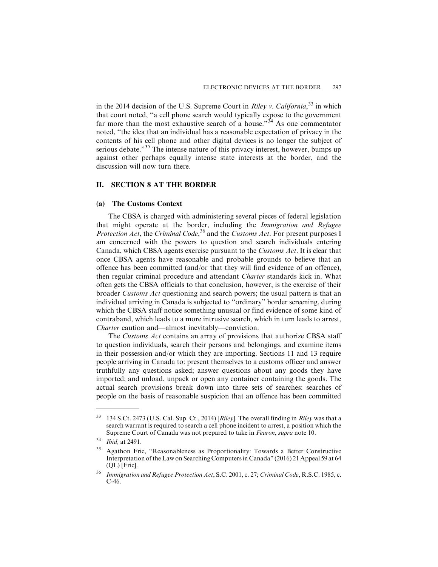in the 2014 decision of the U.S. Supreme Court in *Riley v. California*,<sup>33</sup> in which that court noted, ''a cell phone search would typically expose to the government far more than the most exhaustive search of a house."<sup>34</sup> As one commentator noted, ''the idea that an individual has a reasonable expectation of privacy in the contents of his cell phone and other digital devices is no longer the subject of serious debate."<sup>35</sup> The intense nature of this privacy interest, however, bumps up against other perhaps equally intense state interests at the border, and the discussion will now turn there.

# **II. SECTION 8 AT THE BORDER**

#### **(a) The Customs Context**

The CBSA is charged with administering several pieces of federal legislation that might operate at the border, including the Immigration and Refugee Protection Act, the Criminal Code,<sup>36</sup> and the Customs Act. For present purposes I am concerned with the powers to question and search individuals entering Canada, which CBSA agents exercise pursuant to the Customs Act. It is clear that once CBSA agents have reasonable and probable grounds to believe that an offence has been committed (and/or that they will find evidence of an offence), then regular criminal procedure and attendant Charter standards kick in. What often gets the CBSA officials to that conclusion, however, is the exercise of their broader Customs Act questioning and search powers; the usual pattern is that an individual arriving in Canada is subjected to ''ordinary" border screening, during which the CBSA staff notice something unusual or find evidence of some kind of contraband, which leads to a more intrusive search, which in turn leads to arrest, Charter caution and—almost inevitably—conviction.

The Customs Act contains an array of provisions that authorize CBSA staff to question individuals, search their persons and belongings, and examine items in their possession and/or which they are importing. Sections 11 and 13 require people arriving in Canada to: present themselves to a customs officer and answer truthfully any questions asked; answer questions about any goods they have imported; and unload, unpack or open any container containing the goods. The actual search provisions break down into three sets of searches: searches of people on the basis of reasonable suspicion that an offence has been committed

 $33$  134 S.Ct. 2473 (U.S. Cal. Sup. Ct., 2014) [Riley]. The overall finding in Riley was that a search warrant is required to search a cell phone incident to arrest, a position which the Supreme Court of Canada was not prepared to take in Fearon, supra note 10.

<sup>34</sup> Ibid, at 2491.

<sup>35</sup> Agathon Fric, ''Reasonableness as Proportionality: Towards a Better Constructive Interpretation of the Law on Searching Computers in Canada" (2016) 21 Appeal 59 at 64 (QL) [Fric].

<sup>&</sup>lt;sup>36</sup> Immigration and Refugee Protection Act, S.C. 2001, c. 27; Criminal Code, R.S.C. 1985, c. C-46.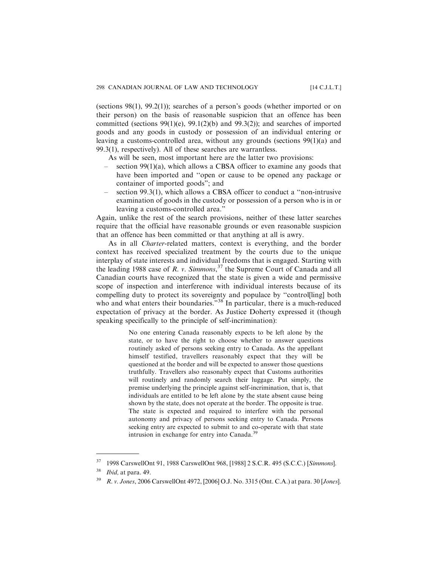(sections 98(1), 99.2(1)); searches of a person's goods (whether imported or on their person) on the basis of reasonable suspicion that an offence has been committed (sections 99(1)(e), 99.1(2)(b) and 99.3(2)); and searches of imported goods and any goods in custody or possession of an individual entering or leaving a customs-controlled area, without any grounds (sections 99(1)(a) and 99.3(1), respectively). All of these searches are warrantless.

As will be seen, most important here are the latter two provisions:

- section  $99(1)(a)$ , which allows a CBSA officer to examine any goods that have been imported and ''open or cause to be opened any package or container of imported goods"; and
- section 99.3(1), which allows a CBSA officer to conduct a ''non-intrusive examination of goods in the custody or possession of a person who is in or leaving a customs-controlled area."

Again, unlike the rest of the search provisions, neither of these latter searches require that the official have reasonable grounds or even reasonable suspicion that an offence has been committed or that anything at all is awry.

As in all Charter-related matters, context is everything, and the border context has received specialized treatment by the courts due to the unique interplay of state interests and individual freedoms that is engaged. Starting with the leading 1988 case of R. v. Simmons,  $37$  the Supreme Court of Canada and all Canadian courts have recognized that the state is given a wide and permissive scope of inspection and interference with individual interests because of its compelling duty to protect its sovereignty and populace by ''control[ling] both who and what enters their boundaries.<sup>338</sup> In particular, there is a much-reduced expectation of privacy at the border. As Justice Doherty expressed it (though speaking specifically to the principle of self-incrimination):

> No one entering Canada reasonably expects to be left alone by the state, or to have the right to choose whether to answer questions routinely asked of persons seeking entry to Canada. As the appellant himself testified, travellers reasonably expect that they will be questioned at the border and will be expected to answer those questions truthfully. Travellers also reasonably expect that Customs authorities will routinely and randomly search their luggage. Put simply, the premise underlying the principle against self-incrimination, that is, that individuals are entitled to be left alone by the state absent cause being shown by the state, does not operate at the border. The opposite is true. The state is expected and required to interfere with the personal autonomy and privacy of persons seeking entry to Canada. Persons seeking entry are expected to submit to and co-operate with that state intrusion in exchange for entry into Canada.<sup>3</sup>

<sup>37</sup> 1998 CarswellOnt 91, 1988 CarswellOnt 968, [1988] 2 S.C.R. 495 (S.C.C.) [Simmons].

 $38$  *Ibid*, at para. 49.

<sup>39</sup> R. v. Jones, 2006 CarswellOnt 4972, [2006] O.J. No. 3315 (Ont. C.A.) at para. 30 [Jones].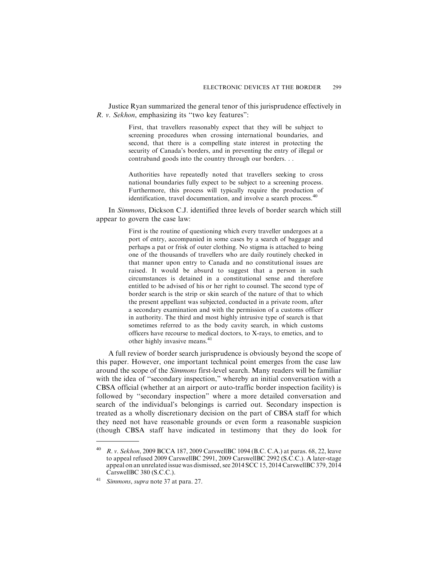Justice Ryan summarized the general tenor of this jurisprudence effectively in R. v. Sekhon, emphasizing its ''two key features":

> First, that travellers reasonably expect that they will be subject to screening procedures when crossing international boundaries, and second, that there is a compelling state interest in protecting the security of Canada's borders, and in preventing the entry of illegal or contraband goods into the country through our borders. . .

> Authorities have repeatedly noted that travellers seeking to cross national boundaries fully expect to be subject to a screening process. Furthermore, this process will typically require the production of identification, travel documentation, and involve a search process.<sup>40</sup>

In Simmons, Dickson C.J. identified three levels of border search which still appear to govern the case law:

> First is the routine of questioning which every traveller undergoes at a port of entry, accompanied in some cases by a search of baggage and perhaps a pat or frisk of outer clothing. No stigma is attached to being one of the thousands of travellers who are daily routinely checked in that manner upon entry to Canada and no constitutional issues are raised. It would be absurd to suggest that a person in such circumstances is detained in a constitutional sense and therefore entitled to be advised of his or her right to counsel. The second type of border search is the strip or skin search of the nature of that to which the present appellant was subjected, conducted in a private room, after a secondary examination and with the permission of a customs officer in authority. The third and most highly intrusive type of search is that sometimes referred to as the body cavity search, in which customs officers have recourse to medical doctors, to X-rays, to emetics, and to other highly invasive means.<sup>41</sup>

A full review of border search jurisprudence is obviously beyond the scope of this paper. However, one important technical point emerges from the case law around the scope of the Simmons first-level search. Many readers will be familiar with the idea of "secondary inspection," whereby an initial conversation with a CBSA official (whether at an airport or auto-traffic border inspection facility) is followed by ''secondary inspection" where a more detailed conversation and search of the individual's belongings is carried out. Secondary inspection is treated as a wholly discretionary decision on the part of CBSA staff for which they need not have reasonable grounds or even form a reasonable suspicion (though CBSA staff have indicated in testimony that they do look for

<sup>&</sup>lt;sup>40</sup> R. v. Sekhon, 2009 BCCA 187, 2009 Carswell BC 1094 (B.C. C.A.) at paras. 68, 22, leave to appeal refused 2009 CarswellBC 2991, 2009 CarswellBC 2992 (S.C.C.). A later-stage appeal on an unrelated issue was dismissed, see 2014 SCC 15, 2014 CarswellBC 379, 2014 CarswellBC 380 (S.C.C.).

<sup>&</sup>lt;sup>41</sup> Simmons, supra note 37 at para. 27.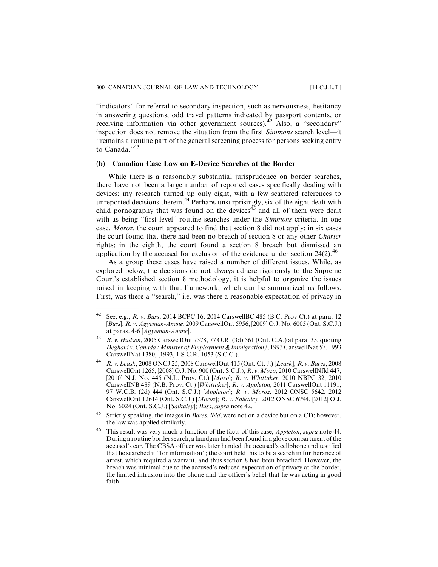''indicators" for referral to secondary inspection, such as nervousness, hesitancy in answering questions, odd travel patterns indicated by passport contents, or receiving information via other government sources).<sup>42</sup> Also, a "secondary" inspection does not remove the situation from the first Simmons search level—it ''remains a routine part of the general screening process for persons seeking entry to Canada."<sup>43</sup>

#### **(b) Canadian Case Law on E-Device Searches at the Border**

While there is a reasonably substantial jurisprudence on border searches, there have not been a large number of reported cases specifically dealing with devices; my research turned up only eight, with a few scattered references to unreported decisions therein.<sup>44</sup> Perhaps unsurprisingly, six of the eight dealt with child pornography that was found on the devices<sup>45</sup> and all of them were dealt with as being "first level" routine searches under the Simmons criteria. In one case, Moroz, the court appeared to find that section 8 did not apply; in six cases the court found that there had been no breach of section 8 or any other Charter rights; in the eighth, the court found a section 8 breach but dismissed an application by the accused for exclusion of the evidence under section  $24(2).^{46}$ 

As a group these cases have raised a number of different issues. While, as explored below, the decisions do not always adhere rigorously to the Supreme Court's established section 8 methodology, it is helpful to organize the issues raised in keeping with that framework, which can be summarized as follows. First, was there a ''search," i.e. was there a reasonable expectation of privacy in

<sup>&</sup>lt;sup>42</sup> See, e.g., *R. v. Buss*, 2014 BCPC 16, 2014 CarswellBC 485 (B.C. Prov Ct.) at para. 12 [Buss]; R. v. Agyeman-Anane, 2009 CarswellOnt 5956, [2009] O.J. No. 6005 (Ont. S.C.J.) at paras. 4-6 [Agyeman-Anane].

<sup>43</sup> R. v. Hudson, 2005 CarswellOnt 7378, 77 O.R. (3d) 561 (Ont. C.A.) at para. 35, quoting Deghani v. Canada (Minister of Employment & Immigration), 1993 CarswellNat 57, 1993 CarswellNat 1380, [1993] 1 S.C.R. 1053 (S.C.C.).

<sup>44</sup> R. v. Leask, 2008 ONCJ 25, 2008 CarswellOnt 415 (Ont. Ct. J.) [Leask]; R. v. Bares, 2008 CarswellOnt 1265, [2008] O.J. No. 900 (Ont. S.C.J.); R. v. Mozo, 2010 CarswellNfld 447, [2010] N.J. No. 445 (N.L. Prov. Ct.) [Mozo]; R. v. Whittaker, 2010 NBPC 32, 2010 CarswellNB 489 (N.B. Prov. Ct.) [Whittaker]; R. v. Appleton, 2011 CarswellOnt 11191, 97 W.C.B. (2d) 444 (Ont. S.C.J.) [Appleton]; R. v. Moroz, 2012 ONSC 5642, 2012 CarswellOnt 12614 (Ont. S.C.J.) [Moroz]; R. v. Saikaley, 2012 ONSC 6794, [2012] O.J. No. 6024 (Ont. S.C.J.) [Saikaley]; Buss, supra note 42.

<sup>&</sup>lt;sup>45</sup> Strictly speaking, the images in *Bares, ibid*, were not on a device but on a CD; however, the law was applied similarly.

This result was very much a function of the facts of this case, Appleton, supra note 44. During a routine border search, a handgun had been found in a glove compartment of the accused's car. The CBSA officer was later handed the accused's cellphone and testified that he searched it ''for information"; the court held this to be a search in furtherance of arrest, which required a warrant, and thus section 8 had been breached. However, the breach was minimal due to the accused's reduced expectation of privacy at the border, the limited intrusion into the phone and the officer's belief that he was acting in good faith.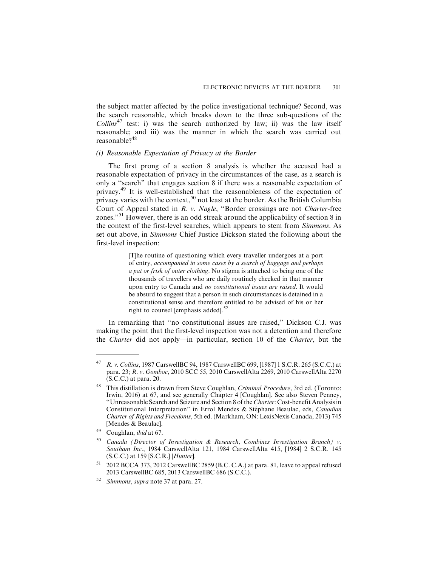the subject matter affected by the police investigational technique? Second, was the search reasonable, which breaks down to the three sub-questions of the Collins<sup>47</sup> test: i) was the search authorized by law; ii) was the law itself reasonable; and iii) was the manner in which the search was carried out reasonable?<sup>48</sup>

#### *(i) Reasonable Expectation of Privacy at the Border*

The first prong of a section 8 analysis is whether the accused had a reasonable expectation of privacy in the circumstances of the case, as a search is only a ''search" that engages section 8 if there was a reasonable expectation of privacy.<sup>49</sup> It is well-established that the reasonableness of the expectation of privacy varies with the context,<sup>50</sup> not least at the border. As the British Columbia Court of Appeal stated in R. v. Nagle, ''Border crossings are not Charter-free zones."<sup>51</sup> However, there is an odd streak around the applicability of section 8 in the context of the first-level searches, which appears to stem from Simmons. As set out above, in Simmons Chief Justice Dickson stated the following about the first-level inspection:

> [T]he routine of questioning which every traveller undergoes at a port of entry, accompanied in some cases by a search of baggage and perhaps a pat or frisk of outer clothing. No stigma is attached to being one of the thousands of travellers who are daily routinely checked in that manner upon entry to Canada and no constitutional issues are raised. It would be absurd to suggest that a person in such circumstances is detained in a constitutional sense and therefore entitled to be advised of his or her right to counsel [emphasis added].<sup>52</sup>

In remarking that ''no constitutional issues are raised," Dickson C.J. was making the point that the first-level inspection was not a detention and therefore the Charter did not apply—in particular, section 10 of the Charter, but the

<sup>47</sup> R. v. Collins, 1987 CarswellBC 94, 1987 CarswellBC 699, [1987] 1 S.C.R. 265 (S.C.C.) at para. 23; R. v. Gomboc, 2010 SCC 55, 2010 CarswellAlta 2269, 2010 CarswellAlta 2270 (S.C.C.) at para. 20.

<sup>48</sup> This distillation is drawn from Steve Coughlan, Criminal Procedure, 3rd ed. (Toronto: Irwin, 2016) at 67, and see generally Chapter 4 [Coughlan]. See also Steven Penney, ''Unreasonable Search and Seizure and Section 8 of the Charter: Cost-benefit Analysis in Constitutional Interpretation" in Errol Mendes & Stéphane Beaulac, eds, Canadian Charter of Rights and Freedoms, 5th ed. (Markham, ON: LexisNexis Canada, 2013) 745 [Mendes & Beaulac].

Coughlan, *ibid* at 67.

Canada (Director of Investigation & Research, Combines Investigation Branch) v. Southam Inc., 1984 CarswellAlta 121, 1984 CarswellAlta 415, [1984] 2 S.C.R. 145 (S.C.C.) at 159 [S.C.R.] [Hunter].

<sup>51</sup> 2012 BCCA 373, 2012 CarswellBC 2859 (B.C. C.A.) at para. 81, leave to appeal refused 2013 CarswellBC 685, 2013 CarswellBC 686 (S.C.C.).

<sup>52</sup> Simmons, supra note 37 at para. 27.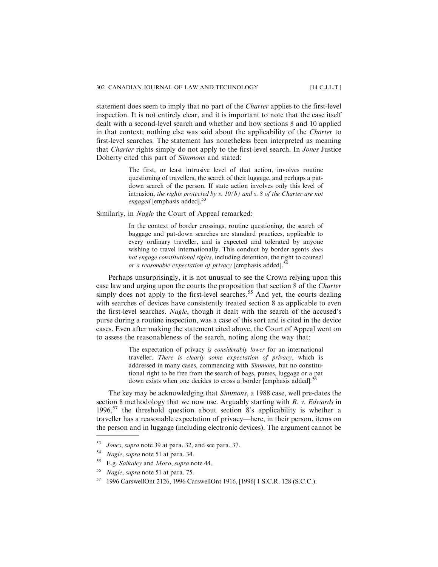statement does seem to imply that no part of the *Charter* applies to the first-level inspection. It is not entirely clear, and it is important to note that the case itself dealt with a second-level search and whether and how sections 8 and 10 applied in that context; nothing else was said about the applicability of the *Charter* to first-level searches. The statement has nonetheless been interpreted as meaning that Charter rights simply do not apply to the first-level search. In Jones Justice Doherty cited this part of Simmons and stated:

> The first, or least intrusive level of that action, involves routine questioning of travellers, the search of their luggage, and perhaps a patdown search of the person. If state action involves only this level of intrusion, the rights protected by s.  $10(b)$  and s. 8 of the Charter are not engaged [emphasis added].<sup>53</sup>

Similarly, in Nagle the Court of Appeal remarked:

In the context of border crossings, routine questioning, the search of baggage and pat-down searches are standard practices, applicable to every ordinary traveller, and is expected and tolerated by anyone wishing to travel internationally. This conduct by border agents *does* not engage constitutional rights, including detention, the right to counsel or a reasonable expectation of privacy [emphasis added].<sup>54</sup>

Perhaps unsurprisingly, it is not unusual to see the Crown relying upon this case law and urging upon the courts the proposition that section 8 of the Charter simply does not apply to the first-level searches.<sup>55</sup> And yet, the courts dealing with searches of devices have consistently treated section 8 as applicable to even the first-level searches. Nagle, though it dealt with the search of the accused's purse during a routine inspection, was a case of this sort and is cited in the device cases. Even after making the statement cited above, the Court of Appeal went on to assess the reasonableness of the search, noting along the way that:

> The expectation of privacy is considerably lower for an international traveller. There is clearly some expectation of privacy, which is addressed in many cases, commencing with Simmons, but no constitutional right to be free from the search of bags, purses, luggage or a pat down exists when one decides to cross a border [emphasis added].<sup>5</sup>

The key may be acknowledging that Simmons, a 1988 case, well pre-dates the section 8 methodology that we now use. Arguably starting with  $R$ . v. Edwards in 1996,<sup>57</sup> the threshold question about section 8's applicability is whether a traveller has a reasonable expectation of privacy—here, in their person, items on the person and in luggage (including electronic devices). The argument cannot be

<sup>53</sup> Jones, supra note 39 at para. 32, and see para. 37.

<sup>54</sup> Nagle, supra note 51 at para. 34.

<sup>&</sup>lt;sup>55</sup> E.g. Saikaley and *Mozo*, supra note 44.

<sup>56</sup> Nagle, supra note 51 at para. 75.

<sup>57</sup> 1996 CarswellOnt 2126, 1996 CarswellOnt 1916, [1996] 1 S.C.R. 128 (S.C.C.).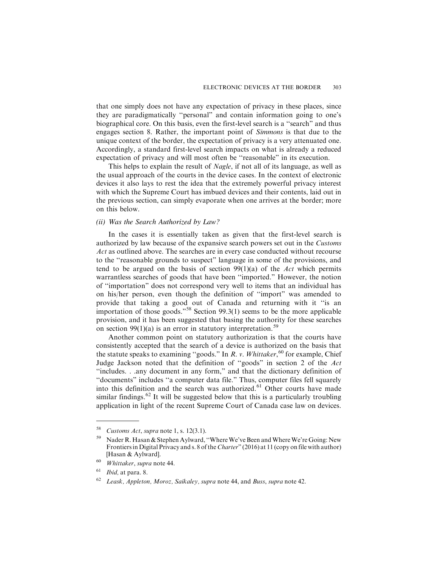that one simply does not have any expectation of privacy in these places, since they are paradigmatically ''personal" and contain information going to one's biographical core. On this basis, even the first-level search is a ''search" and thus engages section 8. Rather, the important point of Simmons is that due to the unique context of the border, the expectation of privacy is a very attenuated one. Accordingly, a standard first-level search impacts on what is already a reduced expectation of privacy and will most often be ''reasonable" in its execution.

This helps to explain the result of *Nagle*, if not all of its language, as well as the usual approach of the courts in the device cases. In the context of electronic devices it also lays to rest the idea that the extremely powerful privacy interest with which the Supreme Court has imbued devices and their contents, laid out in the previous section, can simply evaporate when one arrives at the border; more on this below.

# *(ii) Was the Search Authorized by Law?*

In the cases it is essentially taken as given that the first-level search is authorized by law because of the expansive search powers set out in the Customs Act as outlined above. The searches are in every case conducted without recourse to the ''reasonable grounds to suspect" language in some of the provisions, and tend to be argued on the basis of section  $99(1)(a)$  of the Act which permits warrantless searches of goods that have been ''imported." However, the notion of ''importation" does not correspond very well to items that an individual has on his/her person, even though the definition of ''import" was amended to provide that taking a good out of Canada and returning with it ''is an importation of those goods."<sup>58</sup> Section 99.3(1) seems to be the more applicable provision, and it has been suggested that basing the authority for these searches on section 99(1)(a) is an error in statutory interpretation.<sup>59</sup>

Another common point on statutory authorization is that the courts have consistently accepted that the search of a device is authorized on the basis that the statute speaks to examining "goods." In R. v. Whittaker,<sup>60</sup> for example, Chief Judge Jackson noted that the definition of ''goods" in section 2 of the Act ''includes. . .any document in any form," and that the dictionary definition of ''documents" includes ''a computer data file." Thus, computer files fell squarely into this definition and the search was authorized.<sup>61</sup> Other courts have made similar findings.<sup>62</sup> It will be suggested below that this is a particularly troubling application in light of the recent Supreme Court of Canada case law on devices.

<sup>&</sup>lt;sup>58</sup> Customs Act, supra note 1, s. 12(3.1).

Nader R. Hasan & Stephen Aylward, "Where We've Been and Where We're Going: New Frontiers in Digital Privacy and s. 8 of the *Charter*" (2016) at 11 (copy on file with author) [Hasan & Aylward].

<sup>60</sup> Whittaker, supra note 44.

 $61$  *Ibid*, at para. 8.

 $62$  Leask, Appleton, Moroz, Saikaley, supra note 44, and Buss, supra note 42.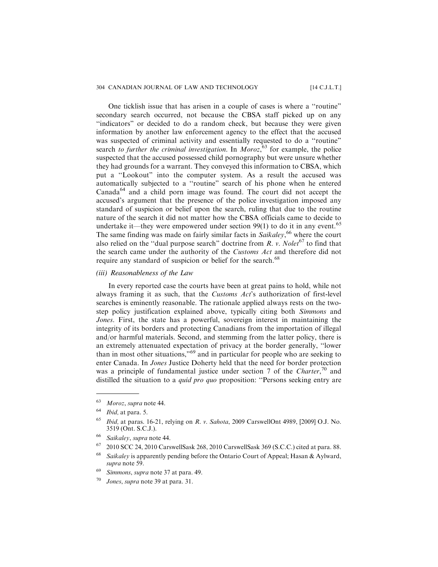## 304 CANADIAN JOURNAL OF LAW AND TECHNOLOGY [14 C.J.L.T.]

One ticklish issue that has arisen in a couple of cases is where a ''routine" secondary search occurred, not because the CBSA staff picked up on any "indicators" or decided to do a random check, but because they were given information by another law enforcement agency to the effect that the accused was suspected of criminal activity and essentially requested to do a ''routine" search to further the criminal investigation. In Moroz,  $63$  for example, the police suspected that the accused possessed child pornography but were unsure whether they had grounds for a warrant. They conveyed this information to CBSA, which put a ''Lookout" into the computer system. As a result the accused was automatically subjected to a ''routine" search of his phone when he entered  $Canada<sup>64</sup>$  and a child porn image was found. The court did not accept the accused's argument that the presence of the police investigation imposed any standard of suspicion or belief upon the search, ruling that due to the routine nature of the search it did not matter how the CBSA officials came to decide to undertake it—they were empowered under section  $99(1)$  to do it in any event.<sup>65</sup> The same finding was made on fairly similar facts in Saikaley,<sup>66</sup> where the court also relied on the "dual purpose search" doctrine from  $R$ . v. Nolet<sup>67</sup> to find that the search came under the authority of the Customs Act and therefore did not require any standard of suspicion or belief for the search.<sup>68</sup>

*(iii) Reasonableness of the Law*

In every reported case the courts have been at great pains to hold, while not always framing it as such, that the Customs Act's authorization of first-level searches is eminently reasonable. The rationale applied always rests on the twostep policy justification explained above, typically citing both Simmons and Jones. First, the state has a powerful, sovereign interest in maintaining the integrity of its borders and protecting Canadians from the importation of illegal and/or harmful materials. Second, and stemming from the latter policy, there is an extremely attenuated expectation of privacy at the border generally, ''lower than in most other situations,<sup>"69</sup> and in particular for people who are seeking to enter Canada. In *Jones* Justice Doherty held that the need for border protection was a principle of fundamental justice under section 7 of the Charter,<sup>70</sup> and distilled the situation to a *quid pro quo* proposition: "Persons seeking entry are

<sup>63</sup> Moroz, supra note 44.

 $64$  *Ibid*, at para. 5.

 $65$  *Ibid*, at paras. 16-21, relying on R. v. Sahota, 2009 CarswellOnt 4989, [2009] O.J. No. 3519 (Ont. S.C.J.).

<sup>66</sup> Saikaley, supra note 44.

<sup>67</sup> 2010 SCC 24, 2010 CarswellSask 268, 2010 CarswellSask 369 (S.C.C.) cited at para. 88.

 $68$  Saikaley is apparently pending before the Ontario Court of Appeal; Hasan & Aylward, supra note 59.

<sup>&</sup>lt;sup>69</sup> Simmons, supra note 37 at para. 49.

<sup>70</sup> Jones, supra note 39 at para. 31.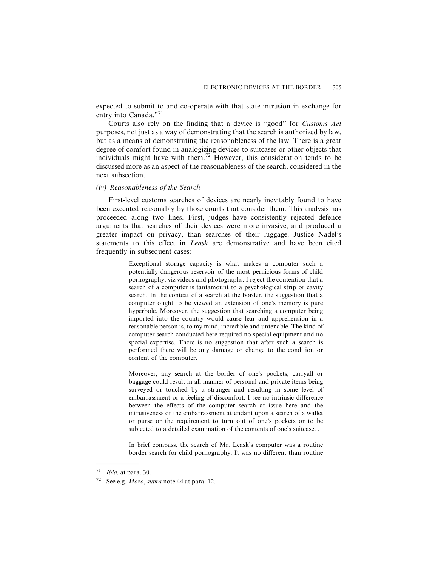expected to submit to and co-operate with that state intrusion in exchange for entry into Canada."<sup>71</sup>

Courts also rely on the finding that a device is ''good" for Customs Act purposes, not just as a way of demonstrating that the search is authorized by law, but as a means of demonstrating the reasonableness of the law. There is a great degree of comfort found in analogizing devices to suitcases or other objects that individuals might have with them.<sup>72</sup> However, this consideration tends to be discussed more as an aspect of the reasonableness of the search, considered in the next subsection.

#### *(iv) Reasonableness of the Search*

First-level customs searches of devices are nearly inevitably found to have been executed reasonably by those courts that consider them. This analysis has proceeded along two lines. First, judges have consistently rejected defence arguments that searches of their devices were more invasive, and produced a greater impact on privacy, than searches of their luggage. Justice Nadel's statements to this effect in Leask are demonstrative and have been cited frequently in subsequent cases:

> Exceptional storage capacity is what makes a computer such a potentially dangerous reservoir of the most pernicious forms of child pornography, viz videos and photographs. I reject the contention that a search of a computer is tantamount to a psychological strip or cavity search. In the context of a search at the border, the suggestion that a computer ought to be viewed an extension of one's memory is pure hyperbole. Moreover, the suggestion that searching a computer being imported into the country would cause fear and apprehension in a reasonable person is, to my mind, incredible and untenable. The kind of computer search conducted here required no special equipment and no special expertise. There is no suggestion that after such a search is performed there will be any damage or change to the condition or content of the computer.

> Moreover, any search at the border of one's pockets, carryall or baggage could result in all manner of personal and private items being surveyed or touched by a stranger and resulting in some level of embarrassment or a feeling of discomfort. I see no intrinsic difference between the effects of the computer search at issue here and the intrusiveness or the embarrassment attendant upon a search of a wallet or purse or the requirement to turn out of one's pockets or to be subjected to a detailed examination of the contents of one's suitcase. . .

> In brief compass, the search of Mr. Leask's computer was a routine border search for child pornography. It was no different than routine

 $71$  *Ibid,* at para. 30.

See e.g. *Mozo*, *supra* note 44 at para. 12.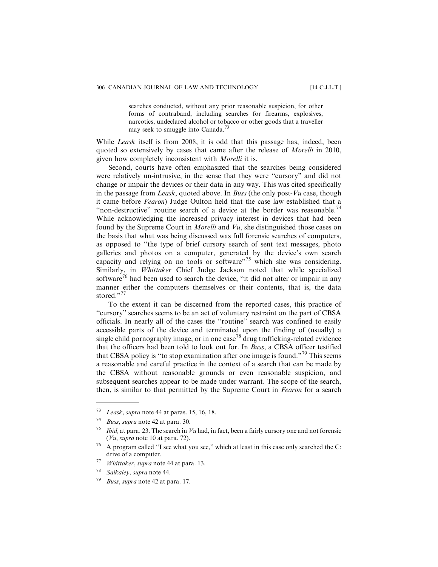searches conducted, without any prior reasonable suspicion, for other forms of contraband, including searches for firearms, explosives, narcotics, undeclared alcohol or tobacco or other goods that a traveller may seek to smuggle into Canada.<sup>73</sup>

While *Leask* itself is from 2008, it is odd that this passage has, indeed, been quoted so extensively by cases that came after the release of Morelli in 2010, given how completely inconsistent with Morelli it is.

Second, courts have often emphasized that the searches being considered were relatively un-intrusive, in the sense that they were ''cursory" and did not change or impair the devices or their data in any way. This was cited specifically in the passage from Leask, quoted above. In Buss (the only post- $Vu$  case, though it came before Fearon) Judge Oulton held that the case law established that a "non-destructive" routine search of a device at the border was reasonable.<sup>74</sup> While acknowledging the increased privacy interest in devices that had been found by the Supreme Court in Morelli and Vu, she distinguished those cases on the basis that what was being discussed was full forensic searches of computers, as opposed to ''the type of brief cursory search of sent text messages, photo galleries and photos on a computer, generated by the device's own search capacity and relying on no tools or software"<sup>75</sup> which she was considering. Similarly, in Whittaker Chief Judge Jackson noted that while specialized software<sup>76</sup> had been used to search the device, "it did not alter or impair in any manner either the computers themselves or their contents, that is, the data stored."<sup>77</sup>

To the extent it can be discerned from the reported cases, this practice of "cursory" searches seems to be an act of voluntary restraint on the part of CBSA officials. In nearly all of the cases the ''routine" search was confined to easily accessible parts of the device and terminated upon the finding of (usually) a single child pornography image, or in one case<sup>78</sup> drug trafficking-related evidence that the officers had been told to look out for. In Buss, a CBSA officer testified that CBSA policy is "to stop examination after one image is found."<sup>79</sup> This seems a reasonable and careful practice in the context of a search that can be made by the CBSA without reasonable grounds or even reasonable suspicion, and subsequent searches appear to be made under warrant. The scope of the search, then, is similar to that permitted by the Supreme Court in Fearon for a search

 $73$  Leask, supra note 44 at paras. 15, 16, 18.

<sup>74</sup> Buss, supra note 42 at para. 30.

<sup>&</sup>lt;sup>75</sup> *Ibid*, at para. 23. The search in Vu had, in fact, been a fairly cursory one and not forensic (Vu, supra note 10 at para. 72).

<sup>76</sup> A program called ''I see what you see," which at least in this case only searched the C: drive of a computer.

 $77$  Whittaker, supra note 44 at para. 13.

<sup>78</sup> Saikaley, supra note 44.

Buss, supra note 42 at para. 17.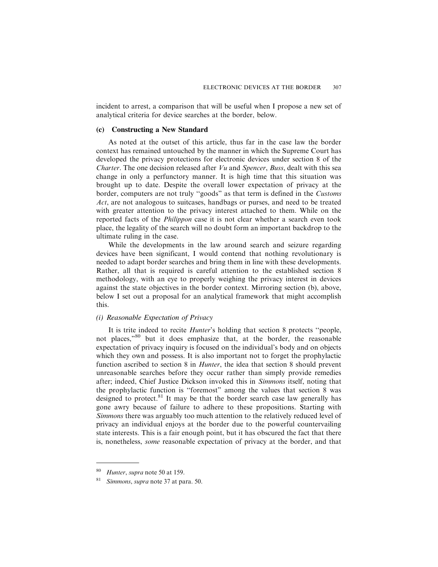incident to arrest, a comparison that will be useful when I propose a new set of analytical criteria for device searches at the border, below.

#### **(c) Constructing a New Standard**

As noted at the outset of this article, thus far in the case law the border context has remained untouched by the manner in which the Supreme Court has developed the privacy protections for electronic devices under section 8 of the *Charter.* The one decision released after  $Vu$  and *Spencer*, *Buss*, dealt with this sea change in only a perfunctory manner. It is high time that this situation was brought up to date. Despite the overall lower expectation of privacy at the border, computers are not truly ''goods" as that term is defined in the Customs Act, are not analogous to suitcases, handbags or purses, and need to be treated with greater attention to the privacy interest attached to them. While on the reported facts of the Philippon case it is not clear whether a search even took place, the legality of the search will no doubt form an important backdrop to the ultimate ruling in the case.

While the developments in the law around search and seizure regarding devices have been significant, I would contend that nothing revolutionary is needed to adapt border searches and bring them in line with these developments. Rather, all that is required is careful attention to the established section 8 methodology, with an eye to properly weighing the privacy interest in devices against the state objectives in the border context. Mirroring section (b), above, below I set out a proposal for an analytical framework that might accomplish this.

#### *(i) Reasonable Expectation of Privacy*

It is trite indeed to recite Hunter's holding that section 8 protects ''people, not places,"<sup>80</sup> but it does emphasize that, at the border, the reasonable expectation of privacy inquiry is focused on the individual's body and on objects which they own and possess. It is also important not to forget the prophylactic function ascribed to section 8 in *Hunter*, the idea that section 8 should prevent unreasonable searches before they occur rather than simply provide remedies after; indeed, Chief Justice Dickson invoked this in Simmons itself, noting that the prophylactic function is ''foremost" among the values that section 8 was designed to protect. $81$  It may be that the border search case law generally has gone awry because of failure to adhere to these propositions. Starting with Simmons there was arguably too much attention to the relatively reduced level of privacy an individual enjoys at the border due to the powerful countervailing state interests. This is a fair enough point, but it has obscured the fact that there is, nonetheless, some reasonable expectation of privacy at the border, and that

<sup>80</sup> Hunter, supra note 50 at 159.

Simmons, supra note 37 at para. 50.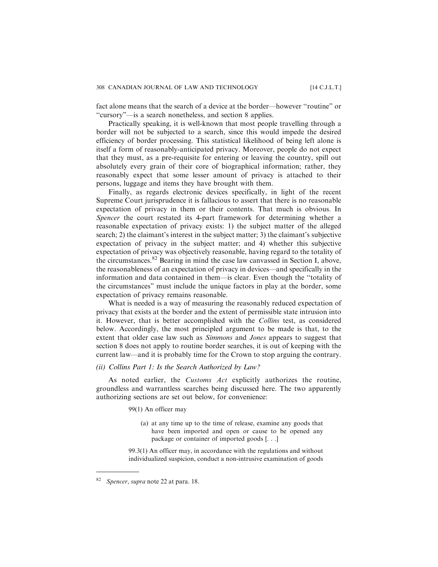fact alone means that the search of a device at the border—however ''routine" or ''cursory"—is a search nonetheless, and section 8 applies.

Practically speaking, it is well-known that most people travelling through a border will not be subjected to a search, since this would impede the desired efficiency of border processing. This statistical likelihood of being left alone is itself a form of reasonably-anticipated privacy. Moreover, people do not expect that they must, as a pre-requisite for entering or leaving the country, spill out absolutely every grain of their core of biographical information; rather, they reasonably expect that some lesser amount of privacy is attached to their persons, luggage and items they have brought with them.

Finally, as regards electronic devices specifically, in light of the recent Supreme Court jurisprudence it is fallacious to assert that there is no reasonable expectation of privacy in them or their contents. That much is obvious. In Spencer the court restated its 4-part framework for determining whether a reasonable expectation of privacy exists: 1) the subject matter of the alleged search; 2) the claimant's interest in the subject matter; 3) the claimant's subjective expectation of privacy in the subject matter; and 4) whether this subjective expectation of privacy was objectively reasonable, having regard to the totality of the circumstances.<sup>82</sup> Bearing in mind the case law canvassed in Section I, above, the reasonableness of an expectation of privacy in devices—and specifically in the information and data contained in them—is clear. Even though the ''totality of the circumstances" must include the unique factors in play at the border, some expectation of privacy remains reasonable.

What is needed is a way of measuring the reasonably reduced expectation of privacy that exists at the border and the extent of permissible state intrusion into it. However, that is better accomplished with the Collins test, as considered below. Accordingly, the most principled argument to be made is that, to the extent that older case law such as *Simmons* and *Jones* appears to suggest that section 8 does not apply to routine border searches, it is out of keeping with the current law—and it is probably time for the Crown to stop arguing the contrary.

# *(ii) Collins Part 1: Is the Search Authorized by Law?*

As noted earlier, the *Customs Act* explicitly authorizes the routine, groundless and warrantless searches being discussed here. The two apparently authorizing sections are set out below, for convenience:

## 99(1) An officer may

(a) at any time up to the time of release, examine any goods that have been imported and open or cause to be opened any package or container of imported goods [. . .]

99.3(1) An officer may, in accordance with the regulations and without individualized suspicion, conduct a non-intrusive examination of goods

Spencer, supra note 22 at para. 18.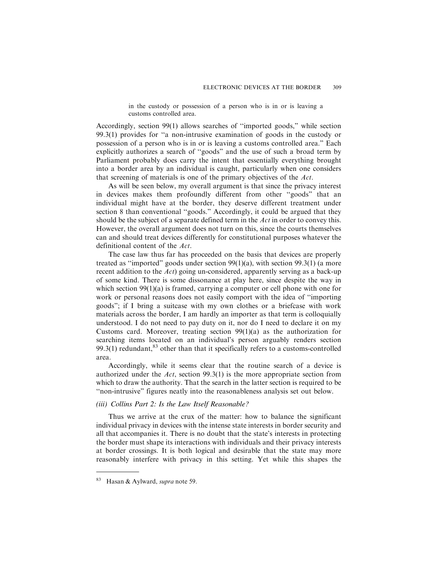in the custody or possession of a person who is in or is leaving a customs controlled area.

Accordingly, section 99(1) allows searches of ''imported goods," while section 99.3(1) provides for ''a non-intrusive examination of goods in the custody or possession of a person who is in or is leaving a customs controlled area." Each explicitly authorizes a search of ''goods" and the use of such a broad term by Parliament probably does carry the intent that essentially everything brought into a border area by an individual is caught, particularly when one considers that screening of materials is one of the primary objectives of the Act.

As will be seen below, my overall argument is that since the privacy interest in devices makes them profoundly different from other ''goods" that an individual might have at the border, they deserve different treatment under section 8 than conventional "goods." Accordingly, it could be argued that they should be the subject of a separate defined term in the Act in order to convey this. However, the overall argument does not turn on this, since the courts themselves can and should treat devices differently for constitutional purposes whatever the definitional content of the Act.

The case law thus far has proceeded on the basis that devices are properly treated as ''imported" goods under section 99(1)(a), with section 99.3(1) (a more recent addition to the Act) going un-considered, apparently serving as a back-up of some kind. There is some dissonance at play here, since despite the way in which section  $99(1)(a)$  is framed, carrying a computer or cell phone with one for work or personal reasons does not easily comport with the idea of ''importing goods"; if I bring a suitcase with my own clothes or a briefcase with work materials across the border, I am hardly an importer as that term is colloquially understood. I do not need to pay duty on it, nor do I need to declare it on my Customs card. Moreover, treating section 99(1)(a) as the authorization for searching items located on an individual's person arguably renders section 99.3(1) redundant, $83$  other than that it specifically refers to a customs-controlled area.

Accordingly, while it seems clear that the routine search of a device is authorized under the Act, section 99.3(1) is the more appropriate section from which to draw the authority. That the search in the latter section is required to be ''non-intrusive" figures neatly into the reasonableness analysis set out below.

#### *(iii) Collins Part 2: Is the Law Itself Reasonable?*

Thus we arrive at the crux of the matter: how to balance the significant individual privacy in devices with the intense state interests in border security and all that accompanies it. There is no doubt that the state's interests in protecting the border must shape its interactions with individuals and their privacy interests at border crossings. It is both logical and desirable that the state may more reasonably interfere with privacy in this setting. Yet while this shapes the

<sup>83</sup> Hasan & Aylward, supra note 59.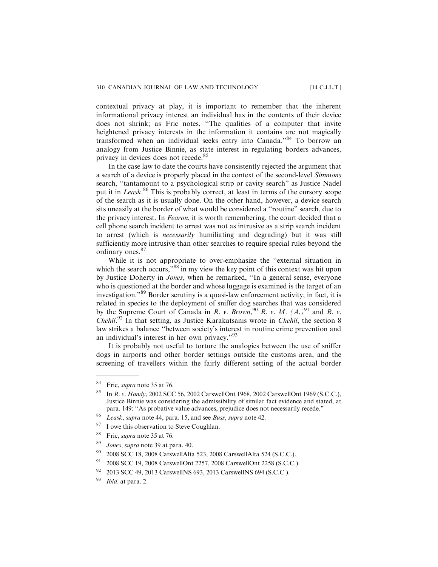contextual privacy at play, it is important to remember that the inherent informational privacy interest an individual has in the contents of their device does not shrink; as Fric notes, ''The qualities of a computer that invite heightened privacy interests in the information it contains are not magically transformed when an individual seeks entry into Canada."<sup>84</sup> To borrow an analogy from Justice Binnie, as state interest in regulating borders advances, privacy in devices does not recede.<sup>85</sup>

In the case law to date the courts have consistently rejected the argument that a search of a device is properly placed in the context of the second-level Simmons search, ''tantamount to a psychological strip or cavity search" as Justice Nadel put it in Leask.<sup>86</sup> This is probably correct, at least in terms of the cursory scope of the search as it is usually done. On the other hand, however, a device search sits uneasily at the border of what would be considered a ''routine" search, due to the privacy interest. In Fearon, it is worth remembering, the court decided that a cell phone search incident to arrest was not as intrusive as a strip search incident to arrest (which is necessarily humiliating and degrading) but it was still sufficiently more intrusive than other searches to require special rules beyond the ordinary ones.<sup>87</sup>

While it is not appropriate to over-emphasize the ''external situation in which the search occurs,"<sup>88</sup> in my view the key point of this context was hit upon by Justice Doherty in Jones, when he remarked, ''In a general sense, everyone who is questioned at the border and whose luggage is examined is the target of an investigation."<sup>89</sup> Border scrutiny is a quasi-law enforcement activity; in fact, it is related in species to the deployment of sniffer dog searches that was considered by the Supreme Court of Canada in R. v. Brown, <sup>90</sup> R. v. M.  $(A.)^{91}$  and R. v. Chehil.<sup>92</sup> In that setting, as Justice Karakatsanis wrote in Chehil, the section 8 law strikes a balance ''between society's interest in routine crime prevention and an individual's interest in her own privacy."<sup>93</sup>

It is probably not useful to torture the analogies between the use of sniffer dogs in airports and other border settings outside the customs area, and the screening of travellers within the fairly different setting of the actual border

- <sup>88</sup> Fric, supra note 35 at 76.
- <sup>89</sup> *Jones, supra* note 39 at para. 40.
- <sup>90</sup> 2008 SCC 18, 2008 CarswellAlta 523, 2008 CarswellAlta 524 (S.C.C.).
- <sup>91</sup> 2008 SCC 19, 2008 CarswellOnt 2257, 2008 CarswellOnt 2258 (S.C.C.)
- <sup>92</sup> 2013 SCC 49, 2013 CarswellNS 693, 2013 CarswellNS 694 (S.C.C.).
- $93$  *Ibid*, at para. 2.

<sup>&</sup>lt;sup>84</sup> Fric, *supra* note 35 at 76.

<sup>&</sup>lt;sup>85</sup> In *R. v. Handy*, 2002 SCC 56, 2002 CarswellOnt 1968, 2002 CarswellOnt 1969 (S.C.C.), Justice Binnie was considering the admissibility of similar fact evidence and stated, at para. 149: ''As probative value advances, prejudice does not necessarily recede."

<sup>&</sup>lt;sup>86</sup> Leask, supra note 44, para. 15, and see Buss, supra note 42.

<sup>&</sup>lt;sup>87</sup> I owe this observation to Steve Coughlan.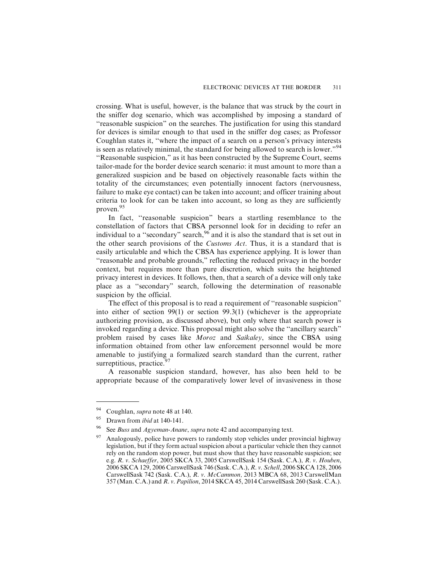crossing. What is useful, however, is the balance that was struck by the court in the sniffer dog scenario, which was accomplished by imposing a standard of ''reasonable suspicion" on the searches. The justification for using this standard for devices is similar enough to that used in the sniffer dog cases; as Professor Coughlan states it, ''where the impact of a search on a person's privacy interests is seen as relatively minimal, the standard for being allowed to search is lower."<sup>94</sup> ''Reasonable suspicion," as it has been constructed by the Supreme Court, seems tailor-made for the border device search scenario: it must amount to more than a generalized suspicion and be based on objectively reasonable facts within the totality of the circumstances; even potentially innocent factors (nervousness, failure to make eye contact) can be taken into account; and officer training about criteria to look for can be taken into account, so long as they are sufficiently proven.<sup>95</sup>

In fact, ''reasonable suspicion" bears a startling resemblance to the constellation of factors that CBSA personnel look for in deciding to refer an individual to a "secondary" search,  $96^\circ$  and it is also the standard that is set out in the other search provisions of the Customs Act. Thus, it is a standard that is easily articulable and which the CBSA has experience applying. It is lower than "reasonable and probable grounds," reflecting the reduced privacy in the border context, but requires more than pure discretion, which suits the heightened privacy interest in devices. It follows, then, that a search of a device will only take place as a ''secondary" search, following the determination of reasonable suspicion by the official.

The effect of this proposal is to read a requirement of ''reasonable suspicion" into either of section 99(1) or section 99.3(1) (whichever is the appropriate authorizing provision, as discussed above), but only where that search power is invoked regarding a device. This proposal might also solve the ''ancillary search" problem raised by cases like Moroz and Saikaley, since the CBSA using information obtained from other law enforcement personnel would be more amenable to justifying a formalized search standard than the current, rather surreptitious, practice.<sup>97</sup>

A reasonable suspicion standard, however, has also been held to be appropriate because of the comparatively lower level of invasiveness in those

<sup>&</sup>lt;sup>94</sup> Coughlan, *supra* note 48 at 140.<br><sup>95</sup> Drawn from *ibid* at 140, 141

Drawn from *ibid* at 140-141.

<sup>&</sup>lt;sup>96</sup> See *Buss* and *Agyeman-Anane*, *supra* note 42 and accompanying text.

 $97$  Analogously, police have powers to randomly stop vehicles under provincial highway legislation, but if they form actual suspicion about a particular vehicle then they cannot rely on the random stop power, but must show that they have reasonable suspicion; see e.g. R. v. Schaeffer, 2005 SKCA 33, 2005 CarswellSask 154 (Sask. C.A.), R. v. Houben, 2006 SKCA 129, 2006 CarswellSask 746 (Sask. C.A.), R. v. Schell, 2006 SKCA 128, 2006 CarswellSask 742 (Sask. C.A.), R. v. McCammon, 2013 MBCA 68, 2013 CarswellMan 357 (Man. C.A.) and R. v. Papilion, 2014 SKCA 45, 2014 CarswellSask 260 (Sask. C.A.).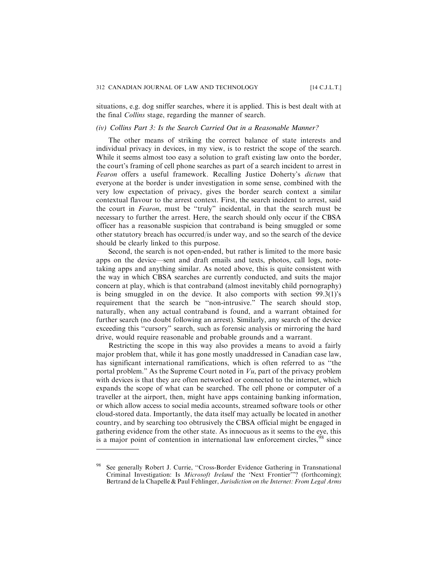situations, e.g. dog sniffer searches, where it is applied. This is best dealt with at the final Collins stage, regarding the manner of search.

#### *(iv) Collins Part 3: Is the Search Carried Out in a Reasonable Manner?*

The other means of striking the correct balance of state interests and individual privacy in devices, in my view, is to restrict the scope of the search. While it seems almost too easy a solution to graft existing law onto the border, the court's framing of cell phone searches as part of a search incident to arrest in Fearon offers a useful framework. Recalling Justice Doherty's dictum that everyone at the border is under investigation in some sense, combined with the very low expectation of privacy, gives the border search context a similar contextual flavour to the arrest context. First, the search incident to arrest, said the court in Fearon, must be ''truly" incidental, in that the search must be necessary to further the arrest. Here, the search should only occur if the CBSA officer has a reasonable suspicion that contraband is being smuggled or some other statutory breach has occurred/is under way, and so the search of the device should be clearly linked to this purpose.

Second, the search is not open-ended, but rather is limited to the more basic apps on the device—sent and draft emails and texts, photos, call logs, notetaking apps and anything similar. As noted above, this is quite consistent with the way in which CBSA searches are currently conducted, and suits the major concern at play, which is that contraband (almost inevitably child pornography) is being smuggled in on the device. It also comports with section 99.3(1)'s requirement that the search be ''non-intrusive." The search should stop, naturally, when any actual contraband is found, and a warrant obtained for further search (no doubt following an arrest). Similarly, any search of the device exceeding this ''cursory" search, such as forensic analysis or mirroring the hard drive, would require reasonable and probable grounds and a warrant.

Restricting the scope in this way also provides a means to avoid a fairly major problem that, while it has gone mostly unaddressed in Canadian case law, has significant international ramifications, which is often referred to as ''the portal problem." As the Supreme Court noted in  $Vu$ , part of the privacy problem with devices is that they are often networked or connected to the internet, which expands the scope of what can be searched. The cell phone or computer of a traveller at the airport, then, might have apps containing banking information, or which allow access to social media accounts, streamed software tools or other cloud-stored data. Importantly, the data itself may actually be located in another country, and by searching too obtrusively the CBSA official might be engaged in gathering evidence from the other state. As innocuous as it seems to the eye, this is a major point of contention in international law enforcement circles,  $98$  since

See generally Robert J. Currie, "Cross-Border Evidence Gathering in Transnational Criminal Investigation: Is Microsoft Ireland the 'Next Frontier'"? (forthcoming); Bertrand de la Chapelle & Paul Fehlinger, Jurisdiction on the Internet: From Legal Arms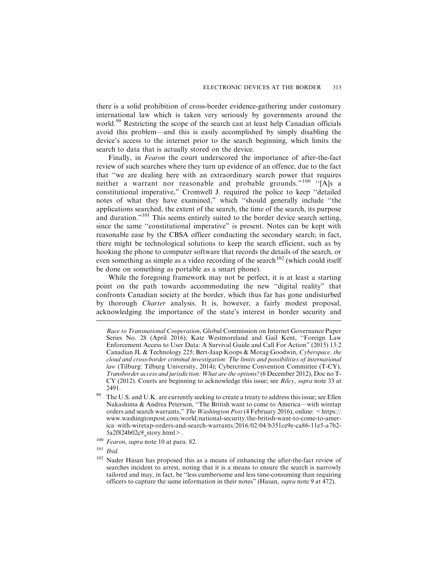there is a solid prohibition of cross-border evidence-gathering under customary international law which is taken very seriously by governments around the world.<sup>99</sup> Restricting the scope of the search can at least help Canadian officials avoid this problem—and this is easily accomplished by simply disabling the device's access to the internet prior to the search beginning, which limits the search to data that is actually stored on the device.

Finally, in Fearon the court underscored the importance of after-the-fact review of such searches where they turn up evidence of an offence, due to the fact that ''we are dealing here with an extraordinary search power that requires neither a warrant nor reasonable and probable grounds."<sup>100</sup> ''[A]s a constitutional imperative," Cromwell J. required the police to keep ''detailed notes of what they have examined," which ''should generally include ''the applications searched, the extent of the search, the time of the search, its purpose and duration."<sup>101</sup> This seems entirely suited to the border device search setting, since the same ''constitutional imperative" is present. Notes can be kept with reasonable ease by the CBSA officer conducting the secondary search; in fact, there might be technological solutions to keep the search efficient, such as by hooking the phone to computer software that records the details of the search, or even something as simple as a video recording of the search<sup>102</sup> (which could itself be done on something as portable as a smart phone).

While the foregoing framework may not be perfect, it is at least a starting point on the path towards accommodating the new ''digital reality" that confronts Canadian society at the border, which thus far has gone undisturbed by thorough Charter analysis. It is, however, a fairly modest proposal, acknowledging the importance of the state's interest in border security and

- <sup>100</sup> Fearon, supra note 10 at para. 82.
- $101$  Ibid.

Race to Transnational Cooperation, Global Commission on Internet Governance Paper Series No. 28 (April 2016); Kate Westmoreland and Gail Kent, "Foreign Law Enforcement Access to User Data: A Survival Guide and Call For Action" (2015) 13:2 Canadian JL & Technology 225; Bert-Jaap Koops & Morag Goodwin, Cyberspace, the cloud and cross-border criminal investigation: The limits and possibilities of international law (Tilburg: Tilburg University, 2014); Cybercrime Convention Committee (T-CY), Transborder access and jurisdiction: What are the options? (6 December 2012), Doc no T- $CY$  (2012). Courts are beginning to acknowledge this issue; see *Riley*, *supra* note 33 at 2491.

The U.S. and U.K. are currently seeking to create a treaty to address this issue; see Ellen Nakashima & Andrea Peterson, ''The British want to come to America—with wiretap orders and search warrants," The Washington Post (4 February 2016), online:  $\langle$  https:// www.washingtonpost.com/world/national-security/the-british-want-to-come-to-america–with-wiretap-orders-and-search-warrants/2016/02/04/b351ce9e-ca86-11e5-a7b2- 5a2f824b02c9\_story.html>.

<sup>&</sup>lt;sup>102</sup> Nader Hasan has proposed this as a means of enhancing the after-the-fact review of searches incident to arrest, noting that it is a means to ensure the search is narrowly tailored and may, in fact, be ''less cumbersome and less time-consuming than requiring officers to capture the same information in their notes" (Hasan, supra note 9 at 472).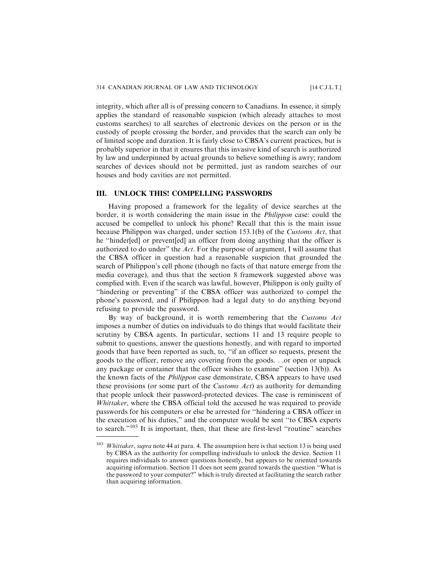integrity, which after all is of pressing concern to Canadians. In essence, it simply applies the standard of reasonable suspicion (which already attaches to most customs searches) to all searches of electronic devices on the person or in the custody of people crossing the border, and provides that the search can only be of limited scope and duration. It is fairly close to CBSA's current practices, but is probably superior in that it ensures that this invasive kind of search is authorized by law and underpinned by actual grounds to believe something is awry; random searches of devices should not be permitted, just as random searches of our houses and body cavities are not permitted.

# **III. UNLOCK THIS! COMPELLING PASSWORDS**

Having proposed a framework for the legality of device searches at the border, it is worth considering the main issue in the Philippon case: could the accused be compelled to unlock his phone? Recall that this is the main issue because Philippon was charged, under section 153.1(b) of the Customs Act, that he ''hinder[ed] or prevent[ed] an officer from doing anything that the officer is authorized to do under" the Act. For the purpose of argument, I will assume that the CBSA officer in question had a reasonable suspicion that grounded the search of Philippon's cell phone (though no facts of that nature emerge from the media coverage), and thus that the section 8 framework suggested above was complied with. Even if the search was lawful, however, Philippon is only guilty of ''hindering or preventing" if the CBSA officer was authorized to compel the phone's password, and if Philippon had a legal duty to do anything beyond refusing to provide the password.

By way of background, it is worth remembering that the Customs Act imposes a number of duties on individuals to do things that would facilitate their scrutiny by CBSA agents. In particular, sections 11 and 13 require people to submit to questions, answer the questions honestly, and with regard to imported goods that have been reported as such, to, ''if an officer so requests, present the goods to the officer, remove any covering from the goods. . .or open or unpack any package or container that the officer wishes to examine" (section 13(b)). As the known facts of the Philippon case demonstrate, CBSA appears to have used these provisions (or some part of the Customs Act) as authority for demanding that people unlock their password-protected devices. The case is reminiscent of Whittaker, where the CBSA official told the accused he was required to provide passwords for his computers or else be arrested for ''hindering a CBSA officer in the execution of his duties," and the computer would be sent ''to CBSA experts to search."<sup>103</sup> It is important, then, that these are first-level "routine" searches

 $103$  Whittaker, supra note 44 at para. 4. The assumption here is that section 13 is being used by CBSA as the authority for compelling individuals to unlock the device. Section 11 requires individuals to answer questions honestly, but appears to be oriented towards acquiring information. Section 11 does not seem geared towards the question ''What is the password to your computer?" which is truly directed at facilitating the search rather than acquiring information.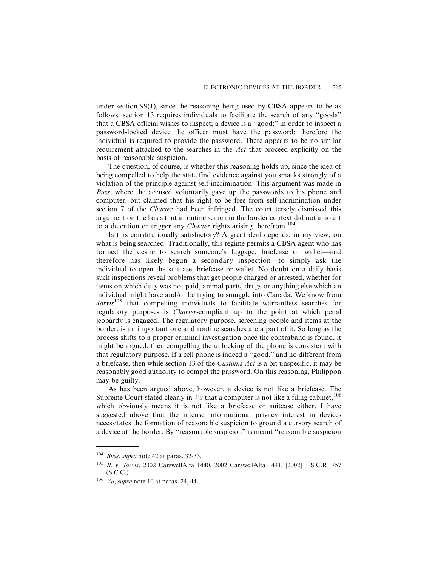under section 99(1), since the reasoning being used by CBSA appears to be as follows: section 13 requires individuals to facilitate the search of any ''goods" that a CBSA official wishes to inspect; a device is a ''good;" in order to inspect a password-locked device the officer must have the password; therefore the individual is required to provide the password. There appears to be no similar requirement attached to the searches in the Act that proceed explicitly on the basis of reasonable suspicion.

The question, of course, is whether this reasoning holds up, since the idea of being compelled to help the state find evidence against you smacks strongly of a violation of the principle against self-incrimination. This argument was made in Buss, where the accused voluntarily gave up the passwords to his phone and computer, but claimed that his right to be free from self-incrimination under section 7 of the Charter had been infringed. The court tersely dismissed this argument on the basis that a routine search in the border context did not amount to a detention or trigger any *Charter* rights arising therefrom.<sup>104</sup>

Is this constitutionally satisfactory? A great deal depends, in my view, on what is being searched. Traditionally, this regime permits a CBSA agent who has formed the desire to search someone's luggage, briefcase or wallet—and therefore has likely begun a secondary inspection—to simply ask the individual to open the suitcase, briefcase or wallet. No doubt on a daily basis such inspections reveal problems that get people charged or arrested, whether for items on which duty was not paid, animal parts, drugs or anything else which an individual might have and/or be trying to smuggle into Canada. We know from  $Jarvis<sup>105</sup>$  that compelling individuals to facilitate warrantless searches for regulatory purposes is Charter-compliant up to the point at which penal jeopardy is engaged. The regulatory purpose, screening people and items at the border, is an important one and routine searches are a part of it. So long as the process shifts to a proper criminal investigation once the contraband is found, it might be argued, then compelling the unlocking of the phone is consistent with that regulatory purpose. If a cell phone is indeed a ''good," and no different from a briefcase, then while section 13 of the Customs Act is a bit unspecific, it may be reasonably good authority to compel the password. On this reasoning, Philippon may be guilty.

As has been argued above, however, a device is not like a briefcase. The Supreme Court stated clearly in  $Vu$  that a computer is not like a filing cabinet,  $^{106}$ which obviously means it is not like a briefcase or suitcase either. I have suggested above that the intense informational privacy interest in devices necessitates the formation of reasonable suspicion to ground a cursory search of a device at the border. By ''reasonable suspicion" is meant ''reasonable suspicion

<sup>&</sup>lt;sup>104</sup> Buss, supra note 42 at paras. 32-35.

<sup>105</sup> R. v. Jarvis, 2002 CarswellAlta 1440, 2002 CarswellAlta 1441, [2002] 3 S.C.R. 757 (S.C.C.).

 $106$  Vu, supra note 10 at paras. 24, 44.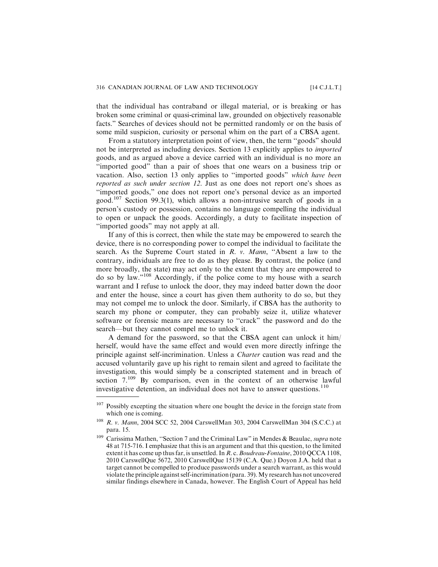that the individual has contraband or illegal material, or is breaking or has broken some criminal or quasi-criminal law, grounded on objectively reasonable facts." Searches of devices should not be permitted randomly or on the basis of some mild suspicion, curiosity or personal whim on the part of a CBSA agent.

From a statutory interpretation point of view, then, the term ''goods" should not be interpreted as including devices. Section 13 explicitly applies to imported goods, and as argued above a device carried with an individual is no more an ''imported good" than a pair of shoes that one wears on a business trip or vacation. Also, section 13 only applies to ''imported goods" which have been reported as such under section 12. Just as one does not report one's shoes as ''imported goods," one does not report one's personal device as an imported good.<sup>107</sup> Section 99.3(1), which allows a non-intrusive search of goods in a person's custody or possession, contains no language compelling the individual to open or unpack the goods. Accordingly, a duty to facilitate inspection of ''imported goods" may not apply at all.

If any of this is correct, then while the state may be empowered to search the device, there is no corresponding power to compel the individual to facilitate the search. As the Supreme Court stated in R. v. Mann, "Absent a law to the contrary, individuals are free to do as they please. By contrast, the police (and more broadly, the state) may act only to the extent that they are empowered to do so by law."<sup>108</sup> Accordingly, if the police come to my house with a search warrant and I refuse to unlock the door, they may indeed batter down the door and enter the house, since a court has given them authority to do so, but they may not compel me to unlock the door. Similarly, if CBSA has the authority to search my phone or computer, they can probably seize it, utilize whatever software or forensic means are necessary to ''crack" the password and do the search—but they cannot compel me to unlock it.

A demand for the password, so that the CBSA agent can unlock it him/ herself, would have the same effect and would even more directly infringe the principle against self-incrimination. Unless a Charter caution was read and the accused voluntarily gave up his right to remain silent and agreed to facilitate the investigation, this would simply be a conscripted statement and in breach of section  $7^{109}$  By comparison, even in the context of an otherwise lawful investigative detention, an individual does not have to answer questions.<sup>110</sup>

Possibly excepting the situation where one bought the device in the foreign state from which one is coming.

<sup>108</sup> R. v. Mann, 2004 SCC 52, 2004 CarswellMan 303, 2004 CarswellMan 304 (S.C.C.) at para. 15.

<sup>&</sup>lt;sup>109</sup> Carissima Mathen, "Section 7 and the Criminal Law" in Mendes & Beaulac, *supra* note 48 at 715-716. I emphasize that this is an argument and that this question, to the limited extent it has come up thus far, is unsettled. In R. c. Boudreau-Fontaine, 2010 QCCA 1108, 2010 CarswellQue 5672, 2010 CarswellQue 15139 (C.A. Que.) Doyon J.A. held that a target cannot be compelled to produce passwords under a search warrant, as this would violate the principle against self-incrimination (para. 39).My research has not uncovered similar findings elsewhere in Canada, however. The English Court of Appeal has held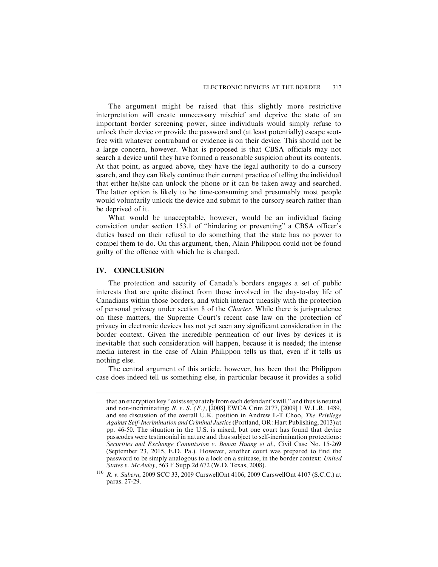The argument might be raised that this slightly more restrictive interpretation will create unnecessary mischief and deprive the state of an important border screening power, since individuals would simply refuse to unlock their device or provide the password and (at least potentially) escape scotfree with whatever contraband or evidence is on their device. This should not be a large concern, however. What is proposed is that CBSA officials may not search a device until they have formed a reasonable suspicion about its contents. At that point, as argued above, they have the legal authority to do a cursory search, and they can likely continue their current practice of telling the individual that either he/she can unlock the phone or it can be taken away and searched. The latter option is likely to be time-consuming and presumably most people would voluntarily unlock the device and submit to the cursory search rather than be deprived of it.

What would be unacceptable, however, would be an individual facing conviction under section 153.1 of ''hindering or preventing" a CBSA officer's duties based on their refusal to do something that the state has no power to compel them to do. On this argument, then, Alain Philippon could not be found guilty of the offence with which he is charged.

#### **IV. CONCLUSION**

The protection and security of Canada's borders engages a set of public interests that are quite distinct from those involved in the day-to-day life of Canadians within those borders, and which interact uneasily with the protection of personal privacy under section 8 of the Charter. While there is jurisprudence on these matters, the Supreme Court's recent case law on the protection of privacy in electronic devices has not yet seen any significant consideration in the border context. Given the incredible permeation of our lives by devices it is inevitable that such consideration will happen, because it is needed; the intense media interest in the case of Alain Philippon tells us that, even if it tells us nothing else.

The central argument of this article, however, has been that the Philippon case does indeed tell us something else, in particular because it provides a solid

that an encryption key ''exists separately from each defendant's will," and thus is neutral and non-incriminating: R. v. S. (F.), [2008] EWCA Crim 2177, [2009] 1 W.L.R. 1489, and see discussion of the overall U.K. position in Andrew L-T Choo, The Privilege Against Self-Incrimination and Criminal Justice (Portland, OR: Hart Publishing, 2013) at pp. 46-50. The situation in the U.S. is mixed, but one court has found that device passcodes were testimonial in nature and thus subject to self-incrimination protections: Securities and Exchange Commission v. Bonan Huang et al., Civil Case No. 15-269 (September 23, 2015, E.D. Pa.). However, another court was prepared to find the password to be simply analogous to a lock on a suitcase, in the border context: United States v. McAuley, 563 F.Supp.2d 672 (W.D. Texas, 2008).

<sup>110</sup> R. v. Suberu, 2009 SCC 33, 2009 CarswellOnt 4106, 2009 CarswellOnt 4107 (S.C.C.) at paras. 27-29.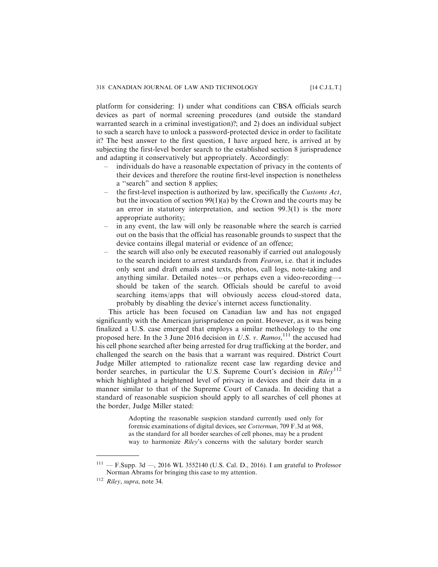platform for considering: 1) under what conditions can CBSA officials search devices as part of normal screening procedures (and outside the standard warranted search in a criminal investigation)?; and 2) does an individual subject to such a search have to unlock a password-protected device in order to facilitate it? The best answer to the first question, I have argued here, is arrived at by subjecting the first-level border search to the established section 8 jurisprudence and adapting it conservatively but appropriately. Accordingly:

- individuals do have a reasonable expectation of privacy in the contents of their devices and therefore the routine first-level inspection is nonetheless a ''search" and section 8 applies;
- the first-level inspection is authorized by law, specifically the Customs Act, but the invocation of section 99(1)(a) by the Crown and the courts may be an error in statutory interpretation, and section 99.3(1) is the more appropriate authority;
- in any event, the law will only be reasonable where the search is carried out on the basis that the official has reasonable grounds to suspect that the device contains illegal material or evidence of an offence;
- the search will also only be executed reasonably if carried out analogously to the search incident to arrest standards from Fearon, i.e. that it includes only sent and draft emails and texts, photos, call logs, note-taking and anything similar. Detailed notes—or perhaps even a video-recording— should be taken of the search. Officials should be careful to avoid searching items/apps that will obviously access cloud-stored data, probably by disabling the device's internet access functionality.

This article has been focused on Canadian law and has not engaged significantly with the American jurisprudence on point. However, as it was being finalized a U.S. case emerged that employs a similar methodology to the one proposed here. In the 3 June 2016 decision in U.S. v. Ramos,  $^{111}$  the accused had his cell phone searched after being arrested for drug trafficking at the border, and challenged the search on the basis that a warrant was required. District Court Judge Miller attempted to rationalize recent case law regarding device and border searches, in particular the U.S. Supreme Court's decision in  $Riley^{112}$ which highlighted a heightened level of privacy in devices and their data in a manner similar to that of the Supreme Court of Canada. In deciding that a standard of reasonable suspicion should apply to all searches of cell phones at the border, Judge Miller stated:

> Adopting the reasonable suspicion standard currently used only for forensic examinations of digital devices, see Cotterman, 709 F.3d at 968, as the standard for all border searches of cell phones, may be a prudent way to harmonize Riley's concerns with the salutary border search

 $-$  F.Supp. 3d  $-$ , 2016 WL 3552140 (U.S. Cal. D., 2016). I am grateful to Professor Norman Abrams for bringing this case to my attention.

<sup>112</sup> Riley, supra, note 34.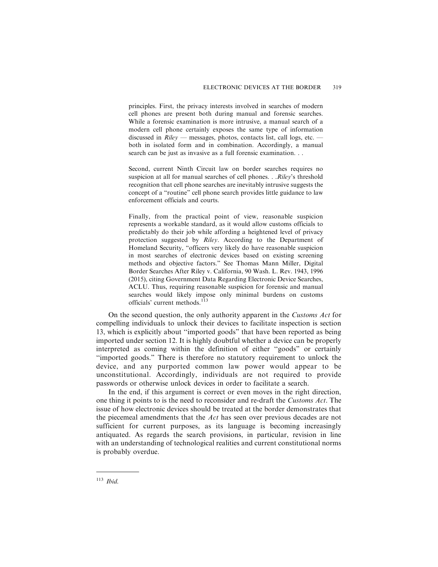principles. First, the privacy interests involved in searches of modern cell phones are present both during manual and forensic searches. While a forensic examination is more intrusive, a manual search of a modern cell phone certainly exposes the same type of information discussed in  $Riley$  — messages, photos, contacts list, call logs, etc. both in isolated form and in combination. Accordingly, a manual search can be just as invasive as a full forensic examination. . .

Second, current Ninth Circuit law on border searches requires no suspicion at all for manual searches of cell phones. . . Riley's threshold recognition that cell phone searches are inevitably intrusive suggests the concept of a "routine" cell phone search provides little guidance to law enforcement officials and courts.

Finally, from the practical point of view, reasonable suspicion represents a workable standard, as it would allow customs officials to predictably do their job while affording a heightened level of privacy protection suggested by Riley. According to the Department of Homeland Security, "officers very likely do have reasonable suspicion in most searches of electronic devices based on existing screening methods and objective factors." See Thomas Mann Miller, Digital Border Searches After Riley v. California, 90 Wash. L. Rev. 1943, 1996 (2015), citing Government Data Regarding Electronic Device Searches, ACLU. Thus, requiring reasonable suspicion for forensic and manual searches would likely impose only minimal burdens on customs officials' current methods.<sup>113</sup>

On the second question, the only authority apparent in the Customs Act for compelling individuals to unlock their devices to facilitate inspection is section 13, which is explicitly about ''imported goods" that have been reported as being imported under section 12. It is highly doubtful whether a device can be properly interpreted as coming within the definition of either ''goods" or certainly ''imported goods." There is therefore no statutory requirement to unlock the device, and any purported common law power would appear to be unconstitutional. Accordingly, individuals are not required to provide passwords or otherwise unlock devices in order to facilitate a search.

In the end, if this argument is correct or even moves in the right direction, one thing it points to is the need to reconsider and re-draft the Customs Act. The issue of how electronic devices should be treated at the border demonstrates that the piecemeal amendments that the Act has seen over previous decades are not sufficient for current purposes, as its language is becoming increasingly antiquated. As regards the search provisions, in particular, revision in line with an understanding of technological realities and current constitutional norms is probably overdue.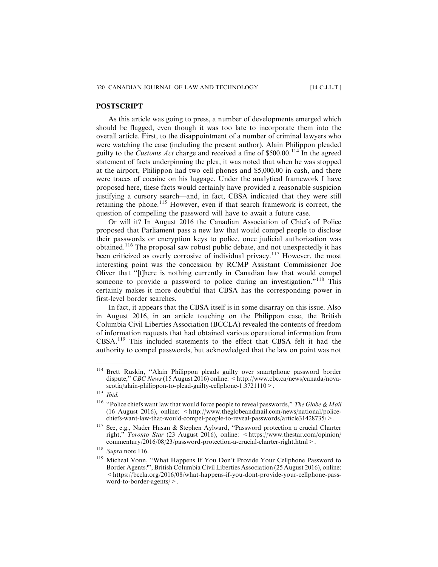#### **POSTSCRIPT**

As this article was going to press, a number of developments emerged which should be flagged, even though it was too late to incorporate them into the overall article. First, to the disappointment of a number of criminal lawyers who were watching the case (including the present author), Alain Philippon pleaded guilty to the *Customs Act* charge and received a fine of  $$500.00$ .<sup>114</sup> In the agreed statement of facts underpinning the plea, it was noted that when he was stopped at the airport, Philippon had two cell phones and \$5,000.00 in cash, and there were traces of cocaine on his luggage. Under the analytical framework I have proposed here, these facts would certainly have provided a reasonable suspicion justifying a cursory search—and, in fact, CBSA indicated that they were still retaining the phone.<sup>115</sup> However, even if that search framework is correct, the question of compelling the password will have to await a future case.

Or will it? In August 2016 the Canadian Association of Chiefs of Police proposed that Parliament pass a new law that would compel people to disclose their passwords or encryption keys to police, once judicial authorization was obtained.<sup>116</sup> The proposal saw robust public debate, and not unexpectedly it has been criticized as overly corrosive of individual privacy.<sup>117</sup> However, the most interesting point was the concession by RCMP Assistant Commissioner Joe Oliver that ''[t]here is nothing currently in Canadian law that would compel someone to provide a password to police during an investigation."<sup>118</sup> This certainly makes it more doubtful that CBSA has the corresponding power in first-level border searches.

In fact, it appears that the CBSA itself is in some disarray on this issue. Also in August 2016, in an article touching on the Philippon case, the British Columbia Civil Liberties Association (BCCLA) revealed the contents of freedom of information requests that had obtained various operational information from CBSA.<sup>119</sup> This included statements to the effect that CBSA felt it had the authority to compel passwords, but acknowledged that the law on point was not

<sup>114</sup> Brett Ruskin, ''Alain Philippon pleads guilty over smartphone password border dispute," CBC News (15 August 2016) online: <http://www.cbc.ca/news/canada/novascotia/alain-philippon-to-plead-guilty-cellphone-1.3721110>.

 $^{115}\,$  Ibid.

<sup>&</sup>lt;sup>116</sup> "Police chiefs want law that would force people to reveal passwords," The Globe & Mail (16 August 2016), online: <http://www.theglobeandmail.com/news/national/policechiefs-want-law-that-would-compel-people-to-reveal-passwords/article31428735/>.

<sup>117</sup> See, e.g., Nader Hasan & Stephen Aylward, ''Password protection a crucial Charter right," Toronto Star (23 August 2016), online: <https://www.thestar.com/opinion/ commentary/2016/08/23/password-protection-a-crucial-charter-right.html>.

<sup>118</sup> Supra note 116.

<sup>&</sup>lt;sup>119</sup> Micheal Vonn, "What Happens If You Don't Provide Your Cellphone Password to Border Agents?", British Columbia Civil Liberties Association (25 August 2016), online: <https://bccla.org/2016/08/what-happens-if-you-dont-provide-your-cellphone-password-to-border-agents/>.